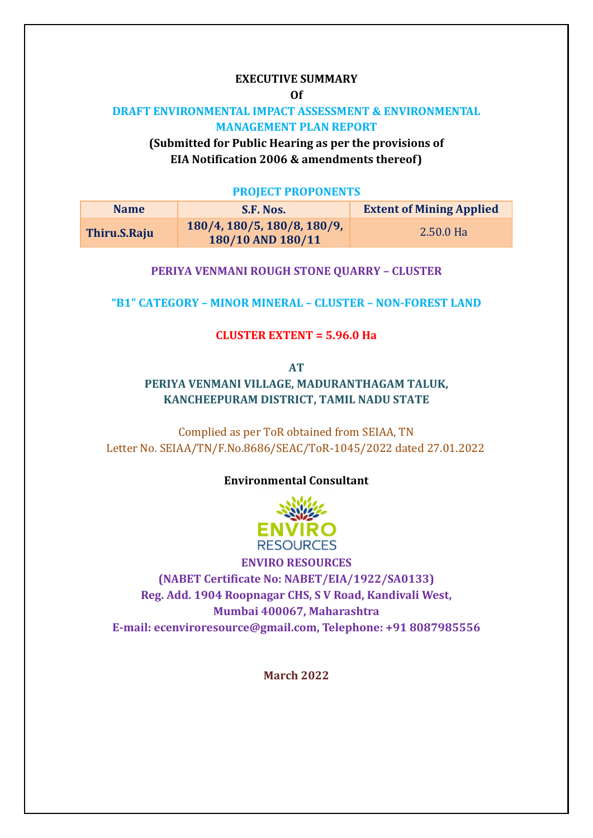#### **EXECUTIVE SUMMARY**

**Of**

#### **DRAFT ENVIRONMENTAL IMPACT ASSESSMENT & ENVIRONMENTAL MANAGEMENT PLAN REPORT**

**(Submitted for Public Hearing as per the provisions of EIA Notification 2006 & amendments thereof)**

#### **PROJECT PROPONENTS**

| <b>Name</b>  | S.F. Nos.                                        | <b>Extent of Mining Applied</b> |
|--------------|--------------------------------------------------|---------------------------------|
| Thiru.S.Raju | 180/4, 180/5, 180/8, 180/9,<br>180/10 AND 180/11 | $2.50.0$ Ha                     |

#### **PERIYA VENMANI ROUGH STONE QUARRY – CLUSTER**

#### **"B1" CATEGORY – MINOR MINERAL – CLUSTER – NON-FOREST LAND**

#### **CLUSTER EXTENT = 5.96.0 Ha**

**AT PERIYA VENMANI VILLAGE, MADURANTHAGAM TALUK, KANCHEEPURAM DISTRICT, TAMIL NADU STATE** 

Complied as per ToR obtained from SEIAA, TN Letter No. SEIAA/TN/F.No.8686/SEAC/ToR-1045/2022 dated 27.01.2022

## **Environmental Consultant**



**ENVIRO RESOURCES (NABET Certificate No: NABET/EIA/1922/SA0133) Reg. Add. 1904 Roopnagar CHS, S V Road, Kandivali West, Mumbai 400067, Maharashtra E-mail: ecenviroresource@gmail.com, Telephone: +91 8087985556**

**March 2022**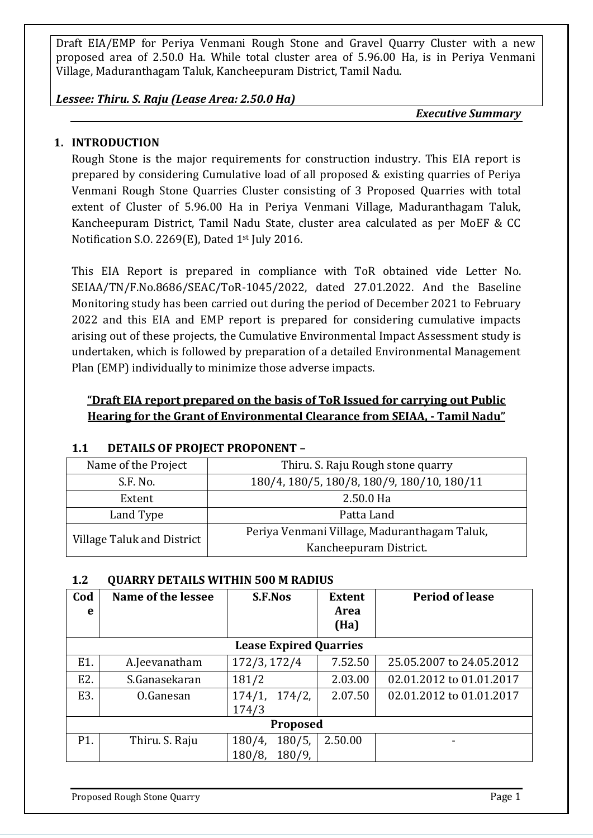*Lessee: Thiru. S. Raju (Lease Area: 2.50.0 Ha)*

*Executive Summary*

## **1. INTRODUCTION**

Rough Stone is the major requirements for construction industry. This EIA report is prepared by considering Cumulative load of all proposed & existing quarries of Periya Venmani Rough Stone Quarries Cluster consisting of 3 Proposed Quarries with total extent of Cluster of 5.96.00 Ha in Periya Venmani Village, Maduranthagam Taluk, Kancheepuram District, Tamil Nadu State, cluster area calculated as per MoEF & CC Notification S.O. 2269(E), Dated 1<sup>st</sup> July 2016.

This EIA Report is prepared in compliance with ToR obtained vide Letter No. SEIAA/TN/F.No.8686/SEAC/ToR-1045/2022, dated 27.01.2022. And the Baseline Monitoring study has been carried out during the period of December 2021 to February 2022 and this EIA and EMP report is prepared for considering cumulative impacts arising out of these projects, the Cumulative Environmental Impact Assessment study is undertaken, which is followed by preparation of a detailed Environmental Management Plan (EMP) individually to minimize those adverse impacts.

# **"Draft EIA report prepared on the basis of ToR Issued for carrying out Public Hearing for the Grant of Environmental Clearance from SEIAA, - Tamil Nadu"**

| Name of the Project        | Thiru. S. Raju Rough stone quarry            |  |
|----------------------------|----------------------------------------------|--|
| S.F. No.                   | 180/4, 180/5, 180/8, 180/9, 180/10, 180/11   |  |
| Extent                     | 2.50.0 Ha                                    |  |
| Land Type<br>Patta Land    |                                              |  |
| Village Taluk and District | Periya Venmani Village, Maduranthagam Taluk, |  |
|                            | Kancheepuram District.                       |  |

#### **1.1 DETAILS OF PROJECT PROPONENT –**

#### **1.2 QUARRY DETAILS WITHIN 500 M RADIUS**

| Cod<br>e         | Name of the lessee | <b>S.F.Nos</b>                | <b>Extent</b><br>Area<br>(Ha) | <b>Period of lease</b>   |
|------------------|--------------------|-------------------------------|-------------------------------|--------------------------|
|                  |                    | <b>Lease Expired Quarries</b> |                               |                          |
| E1.              | A.Jeevanatham      | 172/3, 172/4                  | 7.52.50                       | 25.05.2007 to 24.05.2012 |
| E2.              | S.Ganasekaran      | 181/2                         | 2.03.00                       | 02.01.2012 to 01.01.2017 |
| E3.              | O.Ganesan          | 174/2,<br>174/1,<br>174/3     | 2.07.50                       | 02.01.2012 to 01.01.2017 |
|                  |                    | <b>Proposed</b>               |                               |                          |
| P <sub>1</sub> . | Thiru. S. Raju     | 180/5,<br>180/4,              | 2.50.00                       |                          |
|                  |                    | 180/8<br>$180/9$ ,            |                               |                          |

Proposed Rough Stone Quarry **Page 1** and the proposed Rough Stone Quarry **Page 1**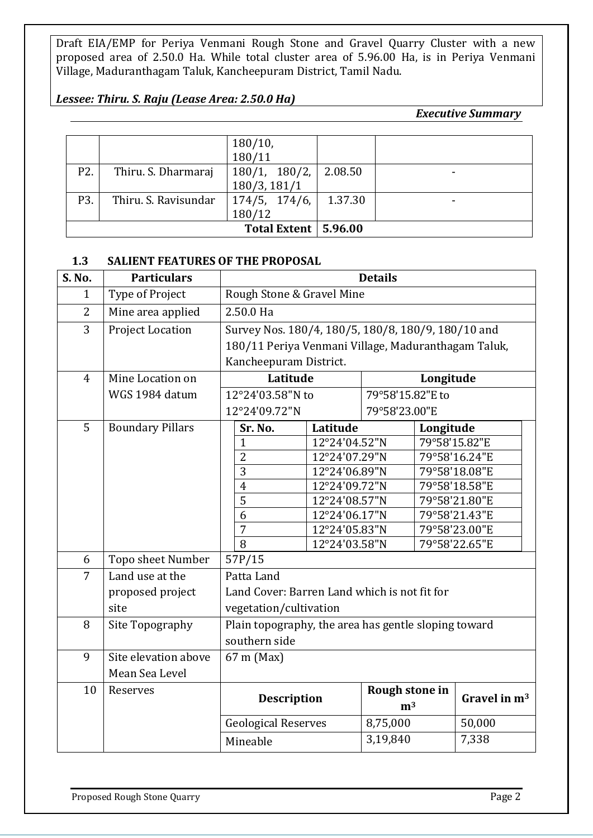*Lessee: Thiru. S. Raju (Lease Area: 2.50.0 Ha)*

*Executive Summary*

|                               |                      | 180/10,       |         |  |
|-------------------------------|----------------------|---------------|---------|--|
|                               |                      | 180/11        |         |  |
| P <sub>2</sub> .              | Thiru. S. Dharmaraj  | 180/1, 180/2, | 2.08.50 |  |
|                               |                      | 180/3, 181/1  |         |  |
| P3.                           | Thiru. S. Ravisundar | 174/5, 174/6, | 1.37.30 |  |
|                               |                      | 180/12        |         |  |
| <b>Total Extent   5.96.00</b> |                      |               |         |  |

## **1.3 SALIENT FEATURES OF THE PROPOSAL**

| S. No.         | <b>Particulars</b>      |                                                      | <b>Details</b> |                                  |                |  |
|----------------|-------------------------|------------------------------------------------------|----------------|----------------------------------|----------------|--|
| $\mathbf{1}$   | Type of Project         | Rough Stone & Gravel Mine                            |                |                                  |                |  |
| $\overline{2}$ | Mine area applied       | 2.50.0 Ha                                            |                |                                  |                |  |
| 3              | <b>Project Location</b> | Survey Nos. 180/4, 180/5, 180/8, 180/9, 180/10 and   |                |                                  |                |  |
|                |                         | 180/11 Periya Venmani Village, Maduranthagam Taluk,  |                |                                  |                |  |
|                |                         | Kancheepuram District.                               |                |                                  |                |  |
| $\overline{4}$ | Mine Location on        | Latitude                                             |                |                                  | Longitude      |  |
|                | WGS 1984 datum          | 12°24'03.58"N to                                     |                | 79°58'15.82"E to                 |                |  |
|                |                         | 12°24'09.72"N                                        |                | 79°58'23.00"E                    |                |  |
| 5              | <b>Boundary Pillars</b> | Sr. No.                                              | Latitude       |                                  | Longitude      |  |
|                |                         | 1                                                    | 12°24'04.52"N  |                                  | 79°58'15.82"E  |  |
|                |                         | $\overline{2}$                                       | 12°24'07.29"N  |                                  | 79°58'16.24"E  |  |
|                |                         | 3                                                    | 12°24'06.89"N  |                                  | 79°58'18.08"E  |  |
|                |                         | $\overline{4}$                                       | 12°24'09.72"N  |                                  | 79°58'18.58"E  |  |
|                |                         | 5                                                    | 12°24'08.57"N  |                                  | 79°58'21.80"E  |  |
|                |                         | 6                                                    | 12°24'06.17"N  |                                  | 79°58'21.43"E  |  |
|                |                         | 7                                                    | 12°24'05.83"N  |                                  | 79°58'23.00"E  |  |
|                |                         | 8                                                    | 12°24'03.58"N  |                                  | 79°58'22.65"E  |  |
| 6              | Topo sheet Number       | 57P/15                                               |                |                                  |                |  |
| 7              | Land use at the         | Patta Land                                           |                |                                  |                |  |
|                | proposed project        | Land Cover: Barren Land which is not fit for         |                |                                  |                |  |
|                | site                    | vegetation/cultivation                               |                |                                  |                |  |
| 8              | Site Topography         | Plain topography, the area has gentle sloping toward |                |                                  |                |  |
|                |                         | southern side                                        |                |                                  |                |  |
| 9              | Site elevation above    | 67 m (Max)                                           |                |                                  |                |  |
|                | Mean Sea Level          |                                                      |                |                                  |                |  |
| 10             | Reserves                | <b>Description</b>                                   |                | Rough stone in<br>m <sup>3</sup> | Gravel in $m3$ |  |
|                |                         | <b>Geological Reserves</b>                           |                | 8,75,000                         | 50,000         |  |
|                |                         | Mineable                                             |                | 3,19,840                         | 7,338          |  |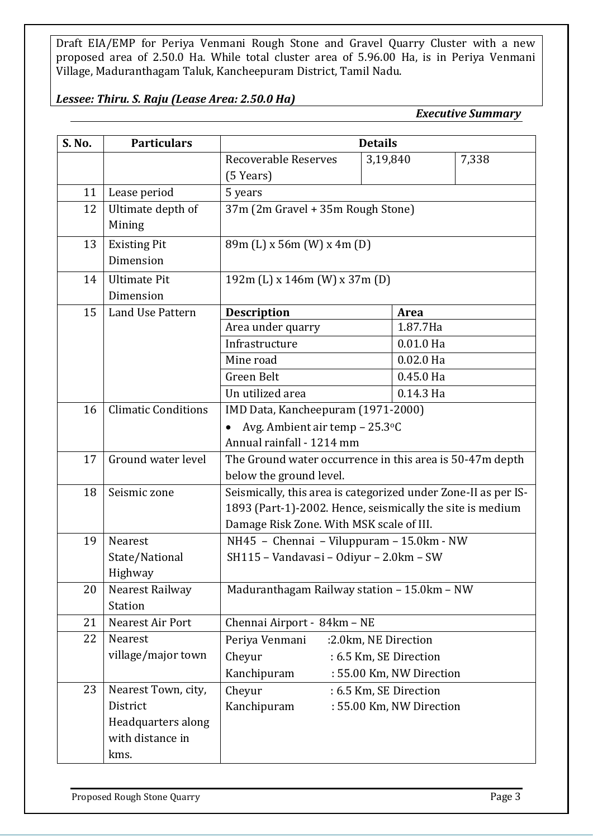# *Lessee: Thiru. S. Raju (Lease Area: 2.50.0 Ha)*

*Executive Summary*

| S. No. | <b>Particulars</b>         | <b>Details</b>                                                                        |                                                                |       |  |
|--------|----------------------------|---------------------------------------------------------------------------------------|----------------------------------------------------------------|-------|--|
|        |                            | <b>Recoverable Reserves</b>                                                           | 3,19,840                                                       | 7,338 |  |
|        |                            | (5 Years)                                                                             |                                                                |       |  |
| 11     | Lease period               | 5 years                                                                               |                                                                |       |  |
| 12     | Ultimate depth of          | 37m (2m Gravel + 35m Rough Stone)                                                     |                                                                |       |  |
|        | Mining                     |                                                                                       |                                                                |       |  |
| 13     | <b>Existing Pit</b>        | 89m (L) x 56m (W) x 4m (D)                                                            |                                                                |       |  |
|        | Dimension                  |                                                                                       |                                                                |       |  |
| 14     | <b>Ultimate Pit</b>        | 192m (L) x 146m (W) x 37m (D)                                                         |                                                                |       |  |
|        | Dimension                  |                                                                                       |                                                                |       |  |
| 15     | Land Use Pattern           | <b>Description</b>                                                                    | Area                                                           |       |  |
|        |                            | Area under quarry                                                                     | 1.87.7Ha                                                       |       |  |
|        |                            | Infrastructure                                                                        | $0.01.0$ Ha                                                    |       |  |
|        |                            | Mine road                                                                             | $0.02.0$ Ha                                                    |       |  |
|        |                            | Green Belt                                                                            | $0.45.0$ Ha                                                    |       |  |
|        |                            | Un utilized area                                                                      | $0.14.3$ Ha                                                    |       |  |
| 16     | <b>Climatic Conditions</b> | IMD Data, Kancheepuram (1971-2000)                                                    |                                                                |       |  |
|        |                            | Avg. Ambient air temp - 25.3°C                                                        |                                                                |       |  |
|        |                            | Annual rainfall - 1214 mm                                                             |                                                                |       |  |
| 17     | Ground water level         | The Ground water occurrence in this area is 50-47m depth                              |                                                                |       |  |
|        |                            | below the ground level.                                                               | Seismically, this area is categorized under Zone-II as per IS- |       |  |
| 18     | Seismic zone               |                                                                                       |                                                                |       |  |
|        |                            | 1893 (Part-1)-2002. Hence, seismically the site is medium                             |                                                                |       |  |
| 19     | <b>Nearest</b>             | Damage Risk Zone. With MSK scale of III.<br>NH45 - Chennai - Viluppuram - 15.0km - NW |                                                                |       |  |
|        | State/National             | SH115 - Vandavasi - Odiyur - 2.0km - SW                                               |                                                                |       |  |
|        | Highway                    |                                                                                       |                                                                |       |  |
| 20     | Nearest Railway            | Maduranthagam Railway station - 15.0km - NW                                           |                                                                |       |  |
|        | <b>Station</b>             |                                                                                       |                                                                |       |  |
| 21     | Nearest Air Port           | Chennai Airport - 84km - NE                                                           |                                                                |       |  |
| 22     | Nearest                    | Periya Venmani                                                                        | :2.0km, NE Direction                                           |       |  |
|        | village/major town         | Cheyur                                                                                | : 6.5 Km, SE Direction                                         |       |  |
|        |                            | Kanchipuram                                                                           | : 55.00 Km, NW Direction                                       |       |  |
| 23     | Nearest Town, city,        | Cheyur                                                                                | : 6.5 Km, SE Direction                                         |       |  |
|        | District                   | Kanchipuram                                                                           | : 55.00 Km, NW Direction                                       |       |  |
|        | Headquarters along         |                                                                                       |                                                                |       |  |
|        | with distance in           |                                                                                       |                                                                |       |  |
|        | kms.                       |                                                                                       |                                                                |       |  |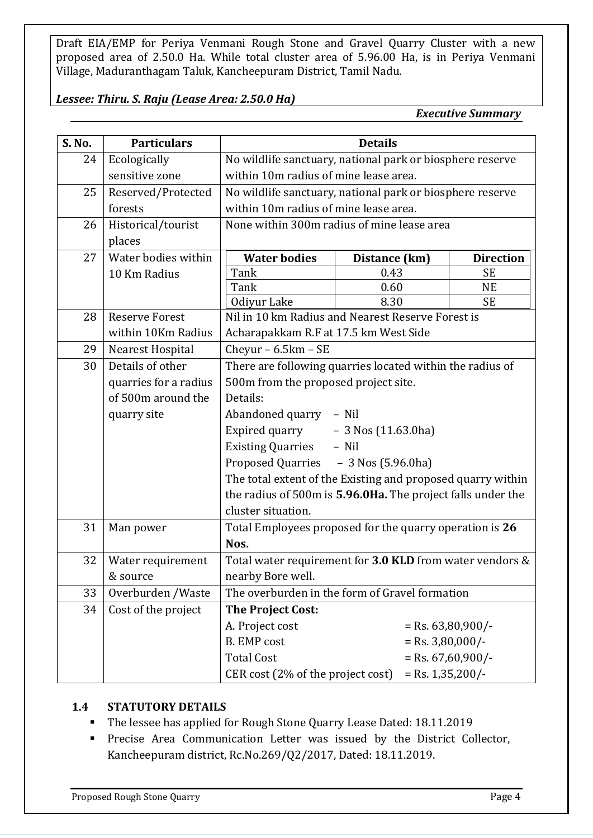#### *Lessee: Thiru. S. Raju (Lease Area: 2.50.0 Ha)*

*Executive Summary*

| S. No. | <b>Particulars</b>    | <b>Details</b>                                              |                                                           |                     |  |
|--------|-----------------------|-------------------------------------------------------------|-----------------------------------------------------------|---------------------|--|
| 24     | Ecologically          | No wildlife sanctuary, national park or biosphere reserve   |                                                           |                     |  |
|        | sensitive zone        | within 10m radius of mine lease area.                       |                                                           |                     |  |
| 25     | Reserved/Protected    |                                                             | No wildlife sanctuary, national park or biosphere reserve |                     |  |
|        | forests               | within 10m radius of mine lease area.                       |                                                           |                     |  |
| 26     | Historical/tourist    | None within 300m radius of mine lease area                  |                                                           |                     |  |
|        | places                |                                                             |                                                           |                     |  |
| 27     | Water bodies within   | <b>Water bodies</b>                                         | Distance (km)                                             | <b>Direction</b>    |  |
|        | 10 Km Radius          | Tank                                                        | 0.43                                                      | <b>SE</b>           |  |
|        |                       | Tank                                                        | 0.60                                                      | <b>NE</b>           |  |
|        |                       | Odiyur Lake                                                 | 8.30                                                      | <b>SE</b>           |  |
| 28     | <b>Reserve Forest</b> | Nil in 10 km Radius and Nearest Reserve Forest is           |                                                           |                     |  |
|        | within 10Km Radius    | Acharapakkam R.F at 17.5 km West Side                       |                                                           |                     |  |
| 29     | Nearest Hospital      | Cheyur $-6.5km - SE$                                        |                                                           |                     |  |
| 30     | Details of other      | There are following quarries located within the radius of   |                                                           |                     |  |
|        | quarries for a radius |                                                             | 500m from the proposed project site.                      |                     |  |
|        | of 500m around the    | Details:                                                    |                                                           |                     |  |
|        | quarry site           | Abandoned quarry - Nil                                      |                                                           |                     |  |
|        |                       | Expired quarry - 3 Nos (11.63.0ha)                          |                                                           |                     |  |
|        |                       | <b>Existing Quarries</b><br>- Nil                           |                                                           |                     |  |
|        |                       |                                                             | Proposed Quarries - 3 Nos (5.96.0ha)                      |                     |  |
|        |                       | The total extent of the Existing and proposed quarry within |                                                           |                     |  |
|        |                       | the radius of 500m is 5.96.0Ha. The project falls under the |                                                           |                     |  |
|        |                       | cluster situation.                                          |                                                           |                     |  |
| 31     | Man power             | Total Employees proposed for the quarry operation is 26     |                                                           |                     |  |
|        |                       | Nos.                                                        |                                                           |                     |  |
| 32     | Water requirement     | Total water requirement for 3.0 KLD from water vendors &    |                                                           |                     |  |
|        | & source              | nearby Bore well.                                           |                                                           |                     |  |
| 33     | Overburden /Waste     | The overburden in the form of Gravel formation              |                                                           |                     |  |
| 34     | Cost of the project   | <b>The Project Cost:</b>                                    |                                                           |                     |  |
|        |                       | A. Project cost                                             |                                                           | $=$ Rs. 63,80,900/- |  |
|        |                       | <b>B.</b> EMP cost                                          | $=$ Rs. 3,80,000/-                                        |                     |  |
|        |                       | <b>Total Cost</b>                                           |                                                           | $=$ Rs. 67,60,900/- |  |
|        |                       | CER cost (2% of the project cost)                           | $=$ Rs. 1,35,200/-                                        |                     |  |
|        |                       |                                                             |                                                           |                     |  |

# **1.4 STATUTORY DETAILS**

- The lessee has applied for Rough Stone Quarry Lease Dated: 18.11.2019
- **•** Precise Area Communication Letter was issued by the District Collector, Kancheepuram district, Rc.No.269/Q2/2017, Dated: 18.11.2019.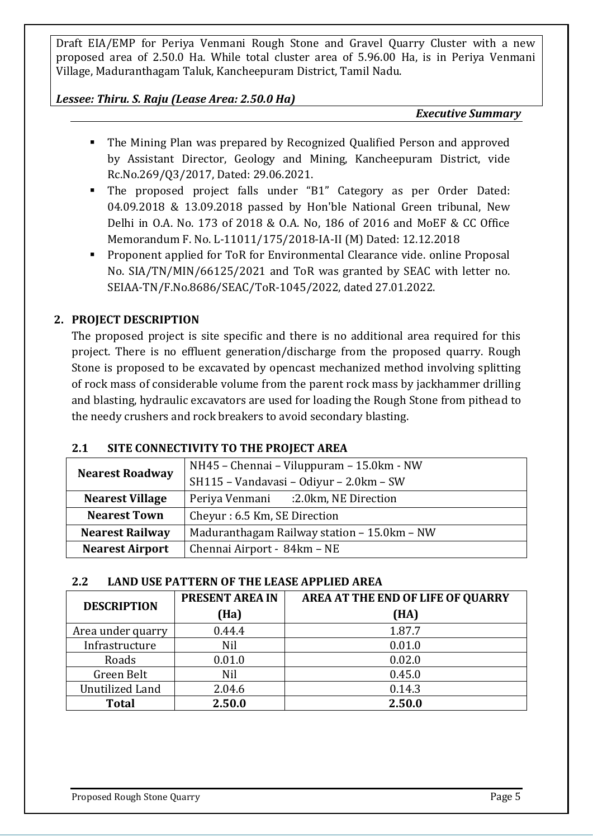#### *Lessee: Thiru. S. Raju (Lease Area: 2.50.0 Ha)*

#### *Executive Summary*

- The Mining Plan was prepared by Recognized Qualified Person and approved by Assistant Director, Geology and Mining, Kancheepuram District, vide Rc.No.269/Q3/2017, Dated: 29.06.2021.
- The proposed project falls under "B1" Category as per Order Dated: 04.09.2018 & 13.09.2018 passed by Hon'ble National Green tribunal, New Delhi in O.A. No. 173 of 2018 & O.A. No, 186 of 2016 and MoEF & CC Office Memorandum F. No. L-11011/175/2018-IA-II (M) Dated: 12.12.2018
- Proponent applied for ToR for Environmental Clearance vide. online Proposal No. SIA/TN/MIN/66125/2021 and ToR was granted by SEAC with letter no. SEIAA-TN/F.No.8686/SEAC/ToR-1045/2022, dated 27.01.2022.

# **2. PROJECT DESCRIPTION**

The proposed project is site specific and there is no additional area required for this project. There is no effluent generation/discharge from the proposed quarry. Rough Stone is proposed to be excavated by opencast mechanized method involving splitting of rock mass of considerable volume from the parent rock mass by jackhammer drilling and blasting, hydraulic excavators are used for loading the Rough Stone from pithead to the needy crushers and rock breakers to avoid secondary blasting.

| <b>Nearest Roadway</b> | NH45 - Chennai - Viluppuram - 15.0km - NW   |  |
|------------------------|---------------------------------------------|--|
|                        | SH115 - Vandavasi - Odiyur - 2.0km - SW     |  |
| <b>Nearest Village</b> | Periya Venmani :2.0km, NE Direction         |  |
| <b>Nearest Town</b>    | Cheyur: 6.5 Km, SE Direction                |  |
| <b>Nearest Railway</b> | Maduranthagam Railway station - 15.0km - NW |  |
| <b>Nearest Airport</b> | Chennai Airport - 84km - NE                 |  |

## **2.1 SITE CONNECTIVITY TO THE PROJECT AREA**

#### **2.2 LAND USE PATTERN OF THE LEASE APPLIED AREA**

| <b>DESCRIPTION</b>     | <b>PRESENT AREA IN</b> | <b>AREA AT THE END OF LIFE OF QUARRY</b> |
|------------------------|------------------------|------------------------------------------|
|                        | (Ha)                   | (HA)                                     |
| Area under quarry      | 0.44.4                 | 1.87.7                                   |
| Infrastructure         | Nil                    | 0.01.0                                   |
| Roads                  | 0.01.0                 | 0.02.0                                   |
| Green Belt             | Nil                    | 0.45.0                                   |
| <b>Unutilized Land</b> | 2.04.6                 | 0.14.3                                   |
| <b>Total</b>           | 2.50.0                 | 2.50.0                                   |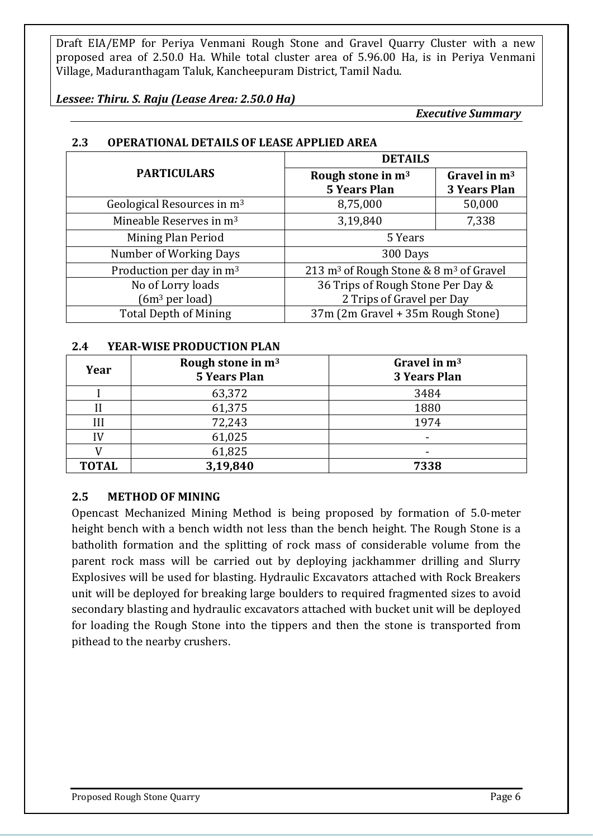*Lessee: Thiru. S. Raju (Lease Area: 2.50.0 Ha)*

*Executive Summary*

|                                        | <b>DETAILS</b>                                                 |                                       |
|----------------------------------------|----------------------------------------------------------------|---------------------------------------|
| <b>PARTICULARS</b>                     | Rough stone in $m3$<br><b>5 Years Plan</b>                     | Gravel in $m3$<br><b>3 Years Plan</b> |
| Geological Resources in m <sup>3</sup> | 8,75,000                                                       | 50,000                                |
| Mineable Reserves in m <sup>3</sup>    | 3,19,840                                                       | 7,338                                 |
| Mining Plan Period                     | 5 Years                                                        |                                       |
| Number of Working Days                 | 300 Days                                                       |                                       |
| Production per day in $m3$             | 213 m <sup>3</sup> of Rough Stone & 8 m <sup>3</sup> of Gravel |                                       |
| No of Lorry loads                      | 36 Trips of Rough Stone Per Day &                              |                                       |
| $(6m3$ per load)                       | 2 Trips of Gravel per Day                                      |                                       |
| <b>Total Depth of Mining</b>           | 37m (2m Gravel + 35m Rough Stone)                              |                                       |

#### **2.3 OPERATIONAL DETAILS OF LEASE APPLIED AREA**

#### **2.4 YEAR-WISE PRODUCTION PLAN**

| Year         | Rough stone in m <sup>3</sup><br><b>5 Years Plan</b> | Gravel in $m3$<br><b>3 Years Plan</b> |
|--------------|------------------------------------------------------|---------------------------------------|
|              | 63,372                                               | 3484                                  |
|              | 61,375                                               | 1880                                  |
| Ш            | 72,243                                               | 1974                                  |
|              | 61,025                                               | -                                     |
|              | 61,825                                               |                                       |
| <b>TOTAL</b> | 3,19,840                                             | 7338                                  |

## **2.5 METHOD OF MINING**

Opencast Mechanized Mining Method is being proposed by formation of 5.0-meter height bench with a bench width not less than the bench height. The Rough Stone is a batholith formation and the splitting of rock mass of considerable volume from the parent rock mass will be carried out by deploying jackhammer drilling and Slurry Explosives will be used for blasting. Hydraulic Excavators attached with Rock Breakers unit will be deployed for breaking large boulders to required fragmented sizes to avoid secondary blasting and hydraulic excavators attached with bucket unit will be deployed for loading the Rough Stone into the tippers and then the stone is transported from pithead to the nearby crushers.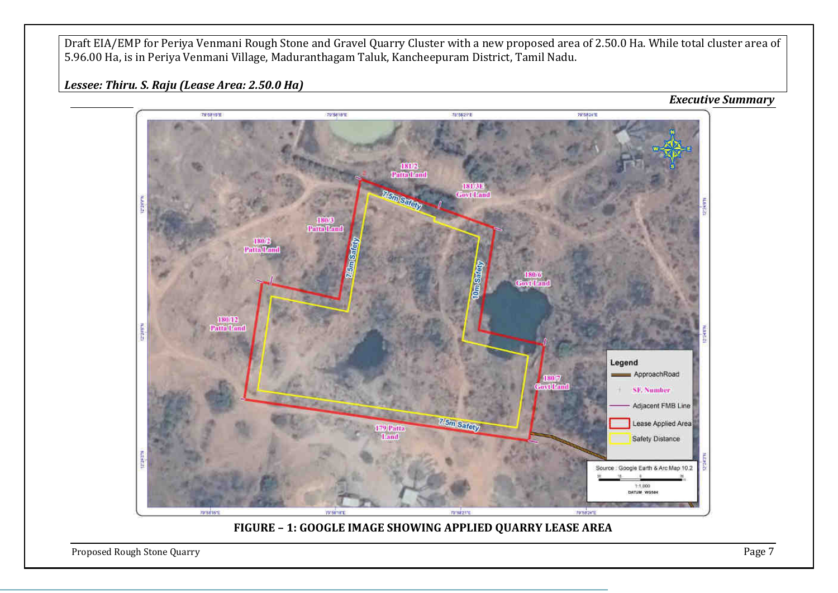*Lessee: Thiru. S. Raju (Lease Area: 2.50.0 Ha)*

*Executive Summary*



**FIGURE – 1: GOOGLE IMAGE SHOWING APPLIED QUARRY LEASE AREA**

Proposed Rough Stone Quarry **Page 7**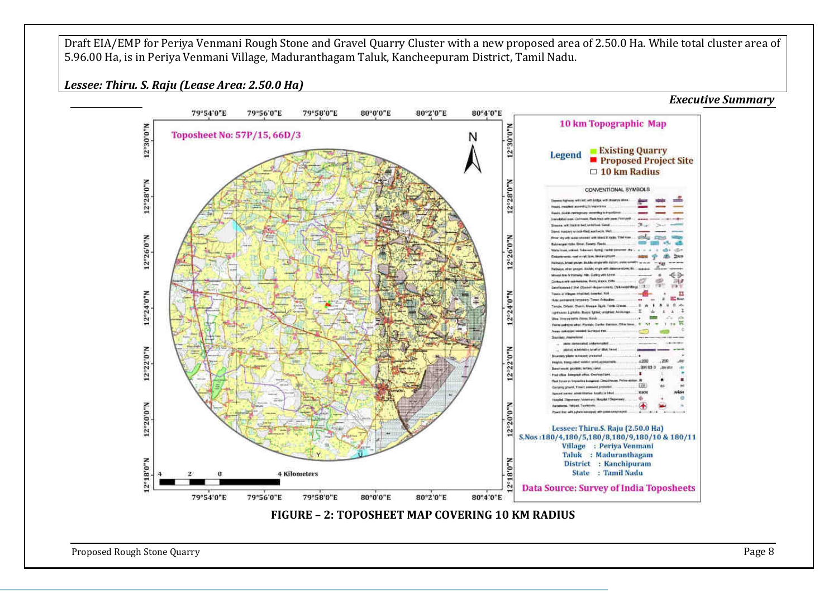*Lessee: Thiru. S. Raju (Lease Area: 2.50.0 Ha)*

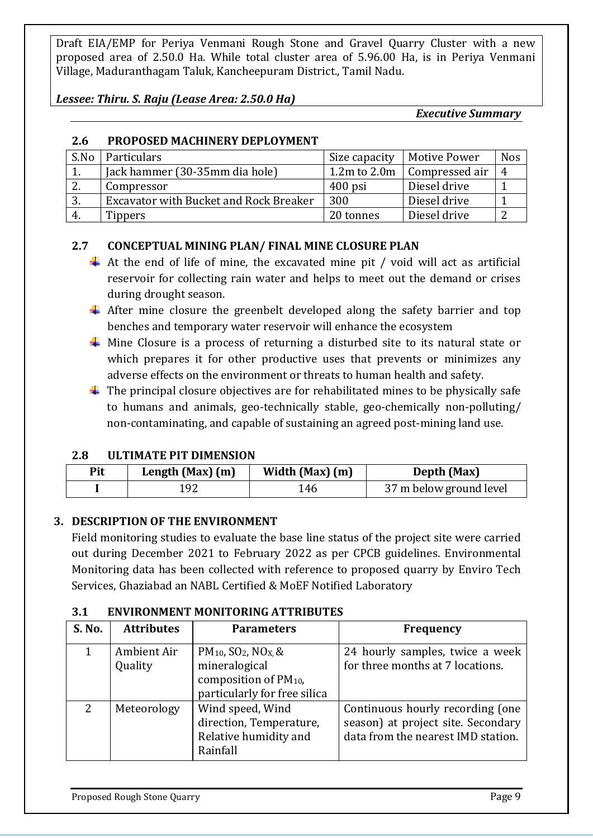*Lessee: Thiru. S. Raju (Lease Area: 2.50.0 Ha)*

*Executive Summary*

# **2.6 PROPOSED MACHINERY DEPLOYMENT**

| S.No | Particulars                            | Size capacity    | Motive Power   | <b>Nos</b> |
|------|----------------------------------------|------------------|----------------|------------|
|      | Jack hammer (30-35mm dia hole)         | $1.2m$ to $2.0m$ | Compressed air |            |
| 2.   | Compressor                             | $400$ psi        | Diesel drive   |            |
| 3.   | Excavator with Bucket and Rock Breaker | 300              | Diesel drive   |            |
| 4.   | <b>Tippers</b>                         | 20 tonnes        | Diesel drive   |            |

# **2.7 CONCEPTUAL MINING PLAN/ FINAL MINE CLOSURE PLAN**

- $\overline{\phantom{a}}$  At the end of life of mine, the excavated mine pit / void will act as artificial reservoir for collecting rain water and helps to meet out the demand or crises during drought season.
- $\overline{+}$  After mine closure the greenbelt developed along the safety barrier and top benches and temporary water reservoir will enhance the ecosystem
- $\frac{1}{\sqrt{2}}$  Mine Closure is a process of returning a disturbed site to its natural state or which prepares it for other productive uses that prevents or minimizes any adverse effects on the environment or threats to human health and safety.
- $\ddot{\phantom{1}}$  The principal closure objectives are for rehabilitated mines to be physically safe to humans and animals, geo-technically stable, geo-chemically non-polluting/ non-contaminating, and capable of sustaining an agreed post-mining land use.

# **2.8 ULTIMATE PIT DIMENSION**

| Pit | Length (Max) (m) | Width (Max) (m) | Depth (Max)             |
|-----|------------------|-----------------|-------------------------|
|     |                  | 146.            | 37 m below ground level |

# **3. DESCRIPTION OF THE ENVIRONMENT**

Field monitoring studies to evaluate the base line status of the project site were carried out during December 2021 to February 2022 as per CPCB guidelines. Environmental Monitoring data has been collected with reference to proposed quarry by Enviro Tech Services, Ghaziabad an NABL Certified & MoEF Notified Laboratory

# **3.1 ENVIRONMENT MONITORING ATTRIBUTES**

| S. No.        | <b>Attributes</b>      | <b>Parameters</b>                                                                                                                | <b>Frequency</b>                                                                                             |
|---------------|------------------------|----------------------------------------------------------------------------------------------------------------------------------|--------------------------------------------------------------------------------------------------------------|
|               | Ambient Air<br>Quality | $PM_{10}$ , SO <sub>2</sub> , NO <sub>X</sub> , &<br>mineralogical<br>composition of $PM_{10}$ ,<br>particularly for free silica | 24 hourly samples, twice a week<br>for three months at 7 locations.                                          |
| $\mathcal{L}$ | Meteorology            | Wind speed, Wind<br>direction, Temperature,<br>Relative humidity and<br>Rainfall                                                 | Continuous hourly recording (one<br>season) at project site. Secondary<br>data from the nearest IMD station. |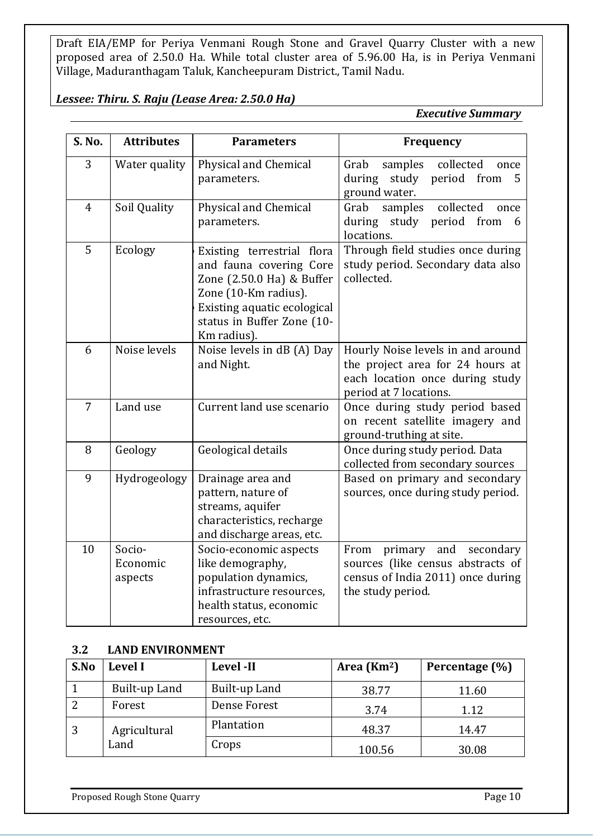# *Lessee: Thiru. S. Raju (Lease Area: 2.50.0 Ha)*

*Executive Summary*

| S. No.         | <b>Attributes</b>             | <b>Parameters</b>                                                                                                                                                                      | Frequency                                                                                                                          |
|----------------|-------------------------------|----------------------------------------------------------------------------------------------------------------------------------------------------------------------------------------|------------------------------------------------------------------------------------------------------------------------------------|
| 3              | Water quality                 | Physical and Chemical<br>parameters.                                                                                                                                                   | Grab<br>samples<br>collected<br>once<br>during<br>study<br>period<br>from<br>5<br>ground water.                                    |
| $\overline{4}$ | Soil Quality                  | Physical and Chemical<br>parameters.                                                                                                                                                   | samples<br>collected<br>Grab<br>once<br>during study period from<br>6<br>locations.                                                |
| 5              | Ecology                       | Existing terrestrial flora<br>and fauna covering Core<br>Zone (2.50.0 Ha) & Buffer<br>Zone (10-Km radius).<br>Existing aquatic ecological<br>status in Buffer Zone (10-<br>Km radius). | Through field studies once during<br>study period. Secondary data also<br>collected.                                               |
| 6              | Noise levels                  | Noise levels in dB (A) Day<br>and Night.                                                                                                                                               | Hourly Noise levels in and around<br>the project area for 24 hours at<br>each location once during study<br>period at 7 locations. |
| $\overline{7}$ | Land use                      | Current land use scenario                                                                                                                                                              | Once during study period based<br>on recent satellite imagery and<br>ground-truthing at site.                                      |
| 8              | Geology                       | Geological details                                                                                                                                                                     | Once during study period. Data<br>collected from secondary sources                                                                 |
| 9              | Hydrogeology                  | Drainage area and<br>pattern, nature of<br>streams, aquifer<br>characteristics, recharge<br>and discharge areas, etc.                                                                  | Based on primary and secondary<br>sources, once during study period.                                                               |
| 10             | Socio-<br>Economic<br>aspects | Socio-economic aspects<br>like demography,<br>population dynamics,<br>infrastructure resources,<br>health status, economic<br>resources, etc.                                          | From<br>primary and<br>secondary<br>sources (like census abstracts of<br>census of India 2011) once during<br>the study period.    |

#### **3.2 LAND ENVIRONMENT**

| S.No | <b>Level I</b> | Level -II     | Area $(Km2)$ | Percentage (%) |
|------|----------------|---------------|--------------|----------------|
|      | Built-up Land  | Built-up Land | 38.77        | 11.60          |
|      | Forest         | Dense Forest  | 3.74         | 1.12           |
| 3    | Agricultural   | Plantation    | 48.37        | 14.47          |
|      | Land           | Crops         | 100.56       | 30.08          |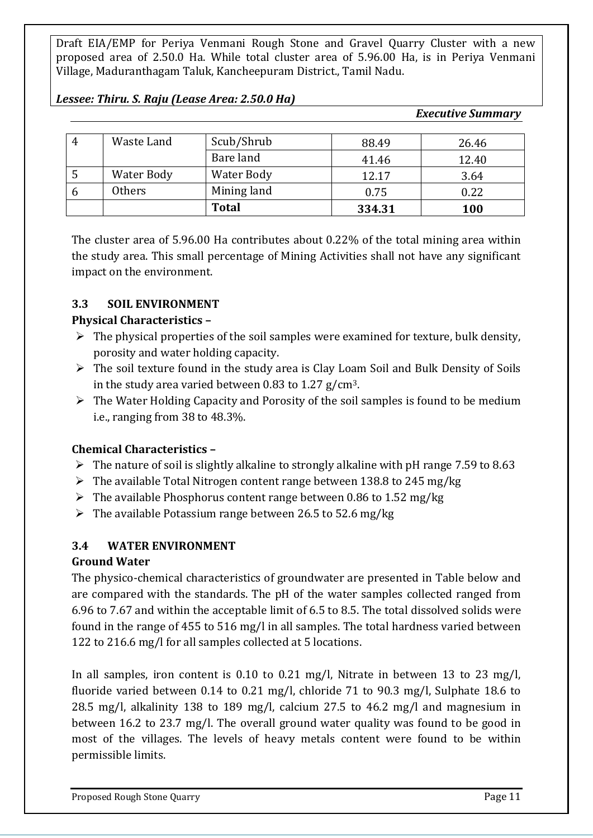|  | Lessee: Thiru. S. Raju (Lease Area: 2.50.0 Ha) |
|--|------------------------------------------------|
|--|------------------------------------------------|

#### *Executive Summary*

| 4 | Waste Land | Scub/Shrub        | 88.49  | 26.46      |
|---|------------|-------------------|--------|------------|
|   |            | Bare land         | 41.46  | 12.40      |
|   | Water Body | <b>Water Body</b> | 12.17  | 3.64       |
| b | Others     | Mining land       | 0.75   | 0.22       |
|   |            | <b>Total</b>      | 334.31 | <b>100</b> |

The cluster area of 5.96.00 Ha contributes about 0.22% of the total mining area within the study area. This small percentage of Mining Activities shall not have any significant impact on the environment.

## **3.3 SOIL ENVIRONMENT**

#### **Physical Characteristics –**

- $\triangleright$  The physical properties of the soil samples were examined for texture, bulk density, porosity and water holding capacity.
- $\triangleright$  The soil texture found in the study area is Clay Loam Soil and Bulk Density of Soils in the study area varied between 0.83 to 1.27 g/cm3.
- $\triangleright$  The Water Holding Capacity and Porosity of the soil samples is found to be medium i.e., ranging from 38 to 48.3%.

## **Chemical Characteristics –**

- $\triangleright$  The nature of soil is slightly alkaline to strongly alkaline with pH range 7.59 to 8.63
- $\triangleright$  The available Total Nitrogen content range between 138.8 to 245 mg/kg
- $\triangleright$  The available Phosphorus content range between 0.86 to 1.52 mg/kg
- $\triangleright$  The available Potassium range between 26.5 to 52.6 mg/kg

## **3.4 WATER ENVIRONMENT**

#### **Ground Water**

The physico-chemical characteristics of groundwater are presented in Table below and are compared with the standards. The pH of the water samples collected ranged from 6.96 to 7.67 and within the acceptable limit of 6.5 to 8.5. The total dissolved solids were found in the range of 455 to 516 mg/l in all samples. The total hardness varied between 122 to 216.6 mg/l for all samples collected at 5 locations.

In all samples, iron content is 0.10 to 0.21 mg/l, Nitrate in between 13 to 23 mg/l, fluoride varied between 0.14 to 0.21 mg/l, chloride 71 to 90.3 mg/l, Sulphate 18.6 to 28.5 mg/l, alkalinity 138 to 189 mg/l, calcium 27.5 to 46.2 mg/l and magnesium in between 16.2 to 23.7 mg/l. The overall ground water quality was found to be good in most of the villages. The levels of heavy metals content were found to be within permissible limits.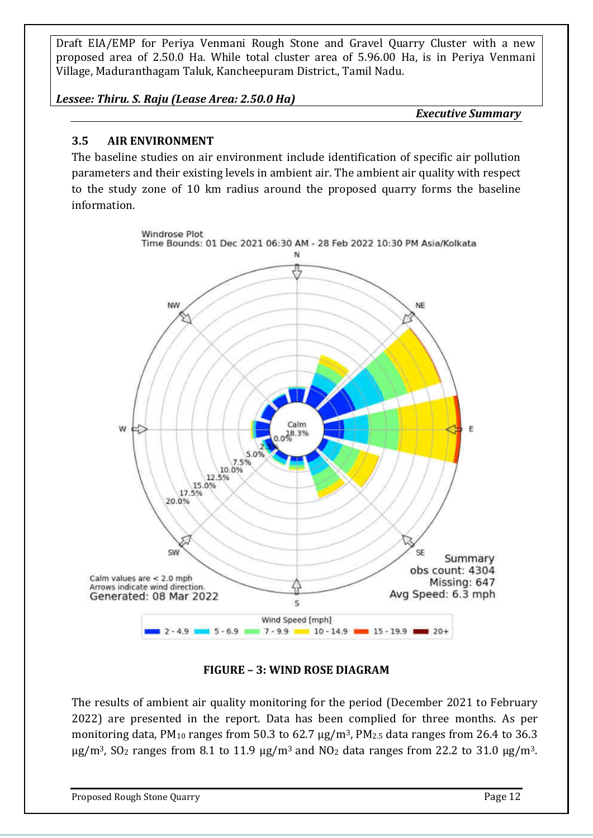*Lessee: Thiru. S. Raju (Lease Area: 2.50.0 Ha)*

*Executive Summary*

## **3.5 AIR ENVIRONMENT**

The baseline studies on air environment include identification of specific air pollution parameters and their existing levels in ambient air. The ambient air quality with respect to the study zone of 10 km radius around the proposed quarry forms the baseline information.



**FIGURE – 3: WIND ROSE DIAGRAM**

The results of ambient air quality monitoring for the period (December 2021 to February 2022) are presented in the report. Data has been complied for three months. As per monitoring data,  $PM_{10}$  ranges from 50.3 to 62.7  $\mu$ g/m<sup>3</sup>,  $PM_{2.5}$  data ranges from 26.4 to 36.3 μg/m<sup>3</sup>, SO<sub>2</sub> ranges from 8.1 to 11.9 μg/m<sup>3</sup> and NO<sub>2</sub> data ranges from 22.2 to 31.0 μg/m<sup>3</sup>.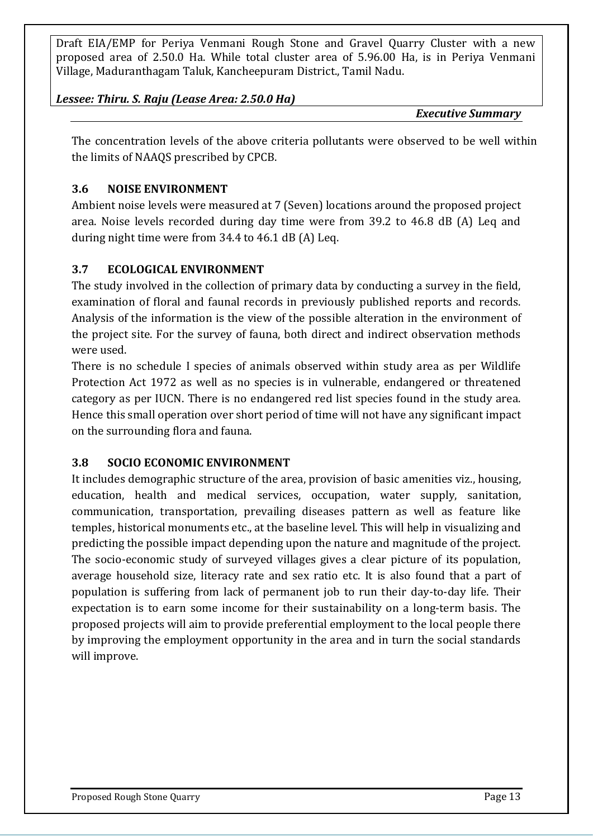#### *Lessee: Thiru. S. Raju (Lease Area: 2.50.0 Ha)*

*Executive Summary*

The concentration levels of the above criteria pollutants were observed to be well within the limits of NAAQS prescribed by CPCB.

## **3.6 NOISE ENVIRONMENT**

Ambient noise levels were measured at 7 (Seven) locations around the proposed project area. Noise levels recorded during day time were from 39.2 to 46.8 dB (A) Leq and during night time were from 34.4 to 46.1 dB (A) Leq.

## **3.7 ECOLOGICAL ENVIRONMENT**

The study involved in the collection of primary data by conducting a survey in the field, examination of floral and faunal records in previously published reports and records. Analysis of the information is the view of the possible alteration in the environment of the project site. For the survey of fauna, both direct and indirect observation methods were used.

There is no schedule I species of animals observed within study area as per Wildlife Protection Act 1972 as well as no species is in vulnerable, endangered or threatened category as per IUCN. There is no endangered red list species found in the study area. Hence this small operation over short period of time will not have any significant impact on the surrounding flora and fauna.

#### **3.8 SOCIO ECONOMIC ENVIRONMENT**

It includes demographic structure of the area, provision of basic amenities viz., housing, education, health and medical services, occupation, water supply, sanitation, communication, transportation, prevailing diseases pattern as well as feature like temples, historical monuments etc., at the baseline level. This will help in visualizing and predicting the possible impact depending upon the nature and magnitude of the project. The socio-economic study of surveyed villages gives a clear picture of its population, average household size, literacy rate and sex ratio etc. It is also found that a part of population is suffering from lack of permanent job to run their day-to-day life. Their expectation is to earn some income for their sustainability on a long-term basis. The proposed projects will aim to provide preferential employment to the local people there by improving the employment opportunity in the area and in turn the social standards will improve.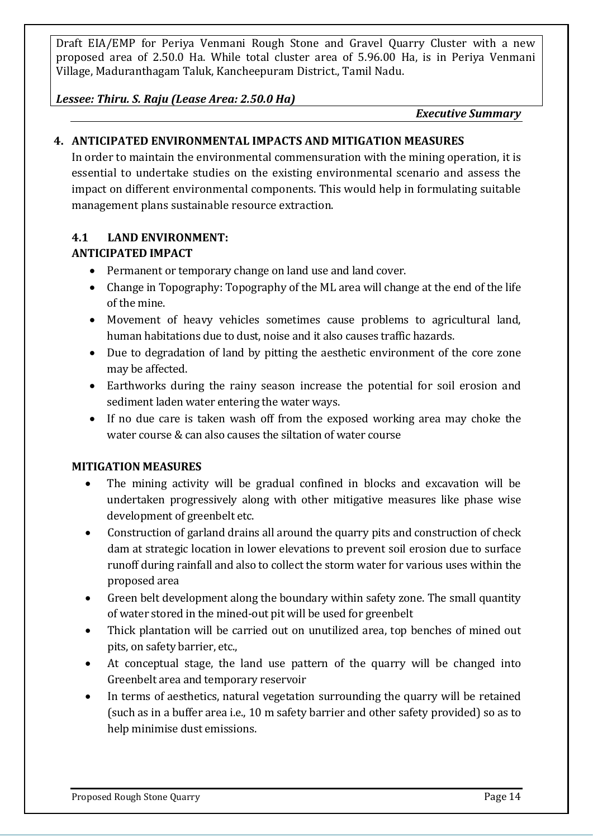### *Lessee: Thiru. S. Raju (Lease Area: 2.50.0 Ha)*

*Executive Summary*

# **4. ANTICIPATED ENVIRONMENTAL IMPACTS AND MITIGATION MEASURES**

In order to maintain the environmental commensuration with the mining operation, it is essential to undertake studies on the existing environmental scenario and assess the impact on different environmental components. This would help in formulating suitable management plans sustainable resource extraction.

# **4.1 LAND ENVIRONMENT:**

## **ANTICIPATED IMPACT**

- Permanent or temporary change on land use and land cover.
- Change in Topography: Topography of the ML area will change at the end of the life of the mine.
- Movement of heavy vehicles sometimes cause problems to agricultural land, human habitations due to dust, noise and it also causes traffic hazards.
- Due to degradation of land by pitting the aesthetic environment of the core zone may be affected.
- Earthworks during the rainy season increase the potential for soil erosion and sediment laden water entering the water ways.
- If no due care is taken wash off from the exposed working area may choke the water course & can also causes the siltation of water course

# **MITIGATION MEASURES**

- The mining activity will be gradual confined in blocks and excavation will be undertaken progressively along with other mitigative measures like phase wise development of greenbelt etc.
- Construction of garland drains all around the quarry pits and construction of check dam at strategic location in lower elevations to prevent soil erosion due to surface runoff during rainfall and also to collect the storm water for various uses within the proposed area
- Green belt development along the boundary within safety zone. The small quantity of water stored in the mined-out pit will be used for greenbelt
- Thick plantation will be carried out on unutilized area, top benches of mined out pits, on safety barrier, etc.,
- At conceptual stage, the land use pattern of the quarry will be changed into Greenbelt area and temporary reservoir
- In terms of aesthetics, natural vegetation surrounding the quarry will be retained (such as in a buffer area i.e., 10 m safety barrier and other safety provided) so as to help minimise dust emissions.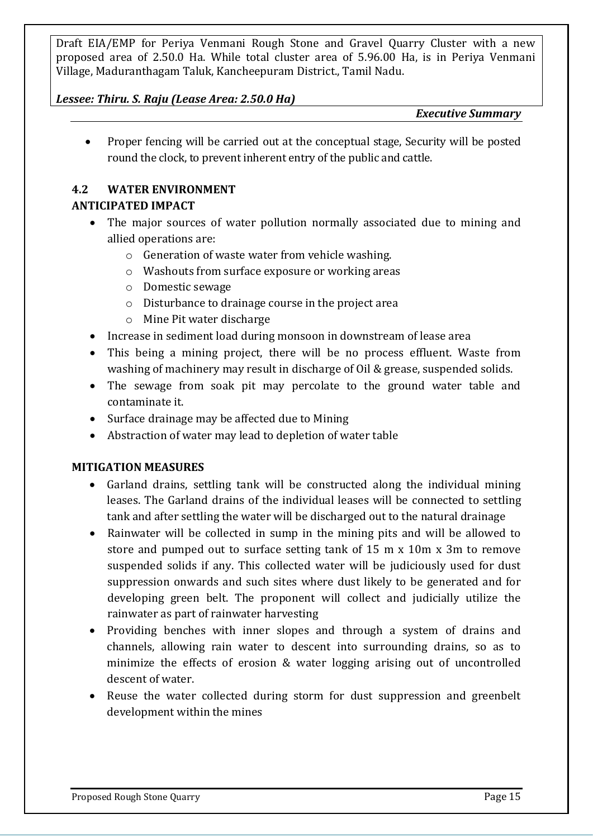#### *Lessee: Thiru. S. Raju (Lease Area: 2.50.0 Ha)*

#### *Executive Summary*

• Proper fencing will be carried out at the conceptual stage, Security will be posted round the clock, to prevent inherent entry of the public and cattle.

## **4.2 WATER ENVIRONMENT**

## **ANTICIPATED IMPACT**

- The major sources of water pollution normally associated due to mining and allied operations are:
	- o Generation of waste water from vehicle washing.
	- o Washouts from surface exposure or working areas
	- o Domestic sewage
	- o Disturbance to drainage course in the project area
	- o Mine Pit water discharge
- Increase in sediment load during monsoon in downstream of lease area
- This being a mining project, there will be no process effluent. Waste from washing of machinery may result in discharge of Oil & grease, suspended solids.
- The sewage from soak pit may percolate to the ground water table and contaminate it.
- Surface drainage may be affected due to Mining
- Abstraction of water may lead to depletion of water table

## **MITIGATION MEASURES**

- Garland drains, settling tank will be constructed along the individual mining leases. The Garland drains of the individual leases will be connected to settling tank and after settling the water will be discharged out to the natural drainage
- Rainwater will be collected in sump in the mining pits and will be allowed to store and pumped out to surface setting tank of 15 m x 10m x 3m to remove suspended solids if any. This collected water will be judiciously used for dust suppression onwards and such sites where dust likely to be generated and for developing green belt. The proponent will collect and judicially utilize the rainwater as part of rainwater harvesting
- Providing benches with inner slopes and through a system of drains and channels, allowing rain water to descent into surrounding drains, so as to minimize the effects of erosion & water logging arising out of uncontrolled descent of water.
- Reuse the water collected during storm for dust suppression and greenbelt development within the mines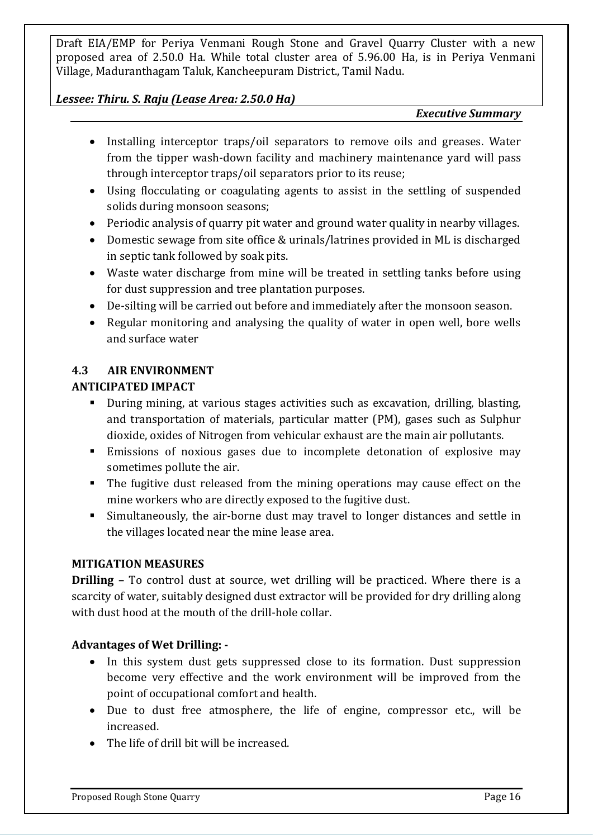## *Lessee: Thiru. S. Raju (Lease Area: 2.50.0 Ha)*

#### *Executive Summary*

- Installing interceptor traps/oil separators to remove oils and greases. Water from the tipper wash-down facility and machinery maintenance yard will pass through interceptor traps/oil separators prior to its reuse;
- Using flocculating or coagulating agents to assist in the settling of suspended solids during monsoon seasons;
- Periodic analysis of quarry pit water and ground water quality in nearby villages.
- Domestic sewage from site office & urinals/latrines provided in ML is discharged in septic tank followed by soak pits.
- Waste water discharge from mine will be treated in settling tanks before using for dust suppression and tree plantation purposes.
- De-silting will be carried out before and immediately after the monsoon season.
- Regular monitoring and analysing the quality of water in open well, bore wells and surface water

## **4.3 AIR ENVIRONMENT**

#### **ANTICIPATED IMPACT**

- During mining, at various stages activities such as excavation, drilling, blasting, and transportation of materials, particular matter (PM), gases such as Sulphur dioxide, oxides of Nitrogen from vehicular exhaust are the main air pollutants.
- Emissions of noxious gases due to incomplete detonation of explosive may sometimes pollute the air.
- The fugitive dust released from the mining operations may cause effect on the mine workers who are directly exposed to the fugitive dust.
- Simultaneously, the air-borne dust may travel to longer distances and settle in the villages located near the mine lease area.

#### **MITIGATION MEASURES**

**Drilling –** To control dust at source, wet drilling will be practiced. Where there is a scarcity of water, suitably designed dust extractor will be provided for dry drilling along with dust hood at the mouth of the drill-hole collar.

#### **Advantages of Wet Drilling: -**

- In this system dust gets suppressed close to its formation. Dust suppression become very effective and the work environment will be improved from the point of occupational comfort and health.
- Due to dust free atmosphere, the life of engine, compressor etc., will be increased.
- The life of drill bit will be increased.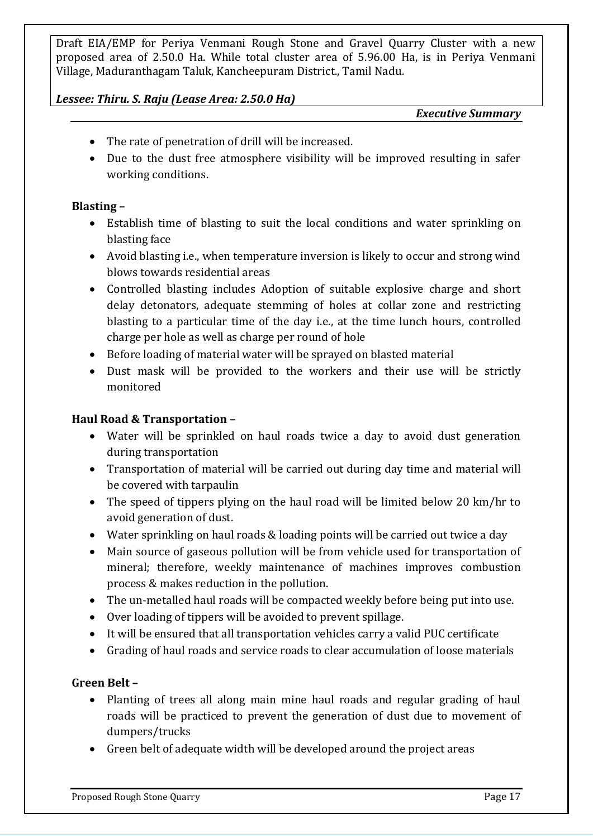## *Lessee: Thiru. S. Raju (Lease Area: 2.50.0 Ha)*

*Executive Summary*

- The rate of penetration of drill will be increased.
- Due to the dust free atmosphere visibility will be improved resulting in safer working conditions.

## **Blasting –**

- Establish time of blasting to suit the local conditions and water sprinkling on blasting face
- Avoid blasting i.e., when temperature inversion is likely to occur and strong wind blows towards residential areas
- Controlled blasting includes Adoption of suitable explosive charge and short delay detonators, adequate stemming of holes at collar zone and restricting blasting to a particular time of the day i.e., at the time lunch hours, controlled charge per hole as well as charge per round of hole
- Before loading of material water will be sprayed on blasted material
- Dust mask will be provided to the workers and their use will be strictly monitored

#### **Haul Road & Transportation –**

- Water will be sprinkled on haul roads twice a day to avoid dust generation during transportation
- Transportation of material will be carried out during day time and material will be covered with tarpaulin
- The speed of tippers plying on the haul road will be limited below 20 km/hr to avoid generation of dust.
- Water sprinkling on haul roads & loading points will be carried out twice a day
- Main source of gaseous pollution will be from vehicle used for transportation of mineral; therefore, weekly maintenance of machines improves combustion process & makes reduction in the pollution.
- The un-metalled haul roads will be compacted weekly before being put into use.
- Over loading of tippers will be avoided to prevent spillage.
- It will be ensured that all transportation vehicles carry a valid PUC certificate
- Grading of haul roads and service roads to clear accumulation of loose materials

## **Green Belt –**

- Planting of trees all along main mine haul roads and regular grading of haul roads will be practiced to prevent the generation of dust due to movement of dumpers/trucks
- Green belt of adequate width will be developed around the project areas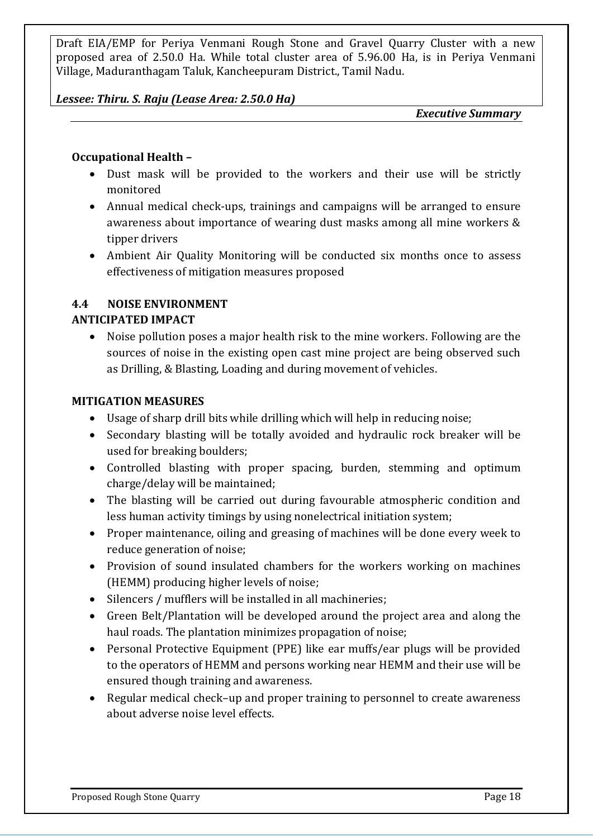## *Lessee: Thiru. S. Raju (Lease Area: 2.50.0 Ha)*

*Executive Summary*

## **Occupational Health –**

- Dust mask will be provided to the workers and their use will be strictly monitored
- Annual medical check-ups, trainings and campaigns will be arranged to ensure awareness about importance of wearing dust masks among all mine workers & tipper drivers
- Ambient Air Quality Monitoring will be conducted six months once to assess effectiveness of mitigation measures proposed

# **4.4 NOISE ENVIRONMENT**

# **ANTICIPATED IMPACT**

• Noise pollution poses a major health risk to the mine workers. Following are the sources of noise in the existing open cast mine project are being observed such as Drilling, & Blasting, Loading and during movement of vehicles.

## **MITIGATION MEASURES**

- Usage of sharp drill bits while drilling which will help in reducing noise;
- Secondary blasting will be totally avoided and hydraulic rock breaker will be used for breaking boulders;
- Controlled blasting with proper spacing, burden, stemming and optimum charge/delay will be maintained;
- The blasting will be carried out during favourable atmospheric condition and less human activity timings by using nonelectrical initiation system;
- Proper maintenance, oiling and greasing of machines will be done every week to reduce generation of noise;
- Provision of sound insulated chambers for the workers working on machines (HEMM) producing higher levels of noise;
- Silencers / mufflers will be installed in all machineries;
- Green Belt/Plantation will be developed around the project area and along the haul roads. The plantation minimizes propagation of noise;
- Personal Protective Equipment (PPE) like ear muffs/ear plugs will be provided to the operators of HEMM and persons working near HEMM and their use will be ensured though training and awareness.
- Regular medical check–up and proper training to personnel to create awareness about adverse noise level effects.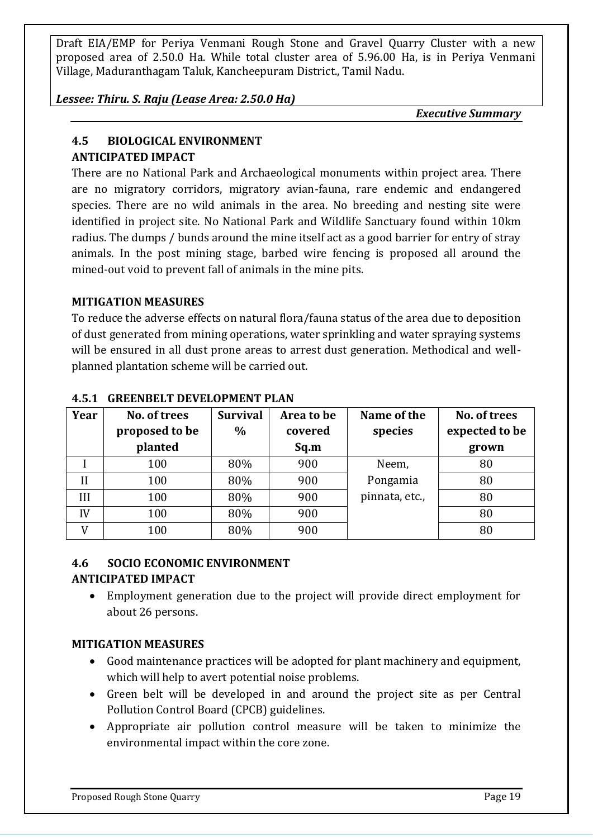*Lessee: Thiru. S. Raju (Lease Area: 2.50.0 Ha)*

*Executive Summary*

# **4.5 BIOLOGICAL ENVIRONMENT ANTICIPATED IMPACT**

There are no National Park and Archaeological monuments within project area. There are no migratory corridors, migratory avian-fauna, rare endemic and endangered species. There are no wild animals in the area. No breeding and nesting site were identified in project site. No National Park and Wildlife Sanctuary found within 10km radius. The dumps / bunds around the mine itself act as a good barrier for entry of stray animals. In the post mining stage, barbed wire fencing is proposed all around the mined-out void to prevent fall of animals in the mine pits.

# **MITIGATION MEASURES**

To reduce the adverse effects on natural flora/fauna status of the area due to deposition of dust generated from mining operations, water sprinkling and water spraying systems will be ensured in all dust prone areas to arrest dust generation. Methodical and wellplanned plantation scheme will be carried out.

| Year         | No. of trees<br>proposed to be | <b>Survival</b><br>$\%$ | Area to be<br>covered | Name of the<br>species | No. of trees<br>expected to be |
|--------------|--------------------------------|-------------------------|-----------------------|------------------------|--------------------------------|
|              | planted                        |                         | Sq.m                  |                        | grown                          |
|              | 100                            | 80%                     | 900                   | Neem,                  | 80                             |
| $\mathbf{I}$ | 100                            | 80%                     | 900                   | Pongamia               | 80                             |
| III          | 100                            | 80%                     | 900                   | pinnata, etc.,         | 80                             |
| IV           | 100                            | 80%                     | 900                   |                        | 80                             |
|              | 100                            | 80%                     | 900                   |                        | 80                             |

# **4.5.1 GREENBELT DEVELOPMENT PLAN**

# **4.6 SOCIO ECONOMIC ENVIRONMENT**

# **ANTICIPATED IMPACT**

• Employment generation due to the project will provide direct employment for about 26 persons.

# **MITIGATION MEASURES**

- Good maintenance practices will be adopted for plant machinery and equipment, which will help to avert potential noise problems.
- Green belt will be developed in and around the project site as per Central Pollution Control Board (CPCB) guidelines.
- Appropriate air pollution control measure will be taken to minimize the environmental impact within the core zone.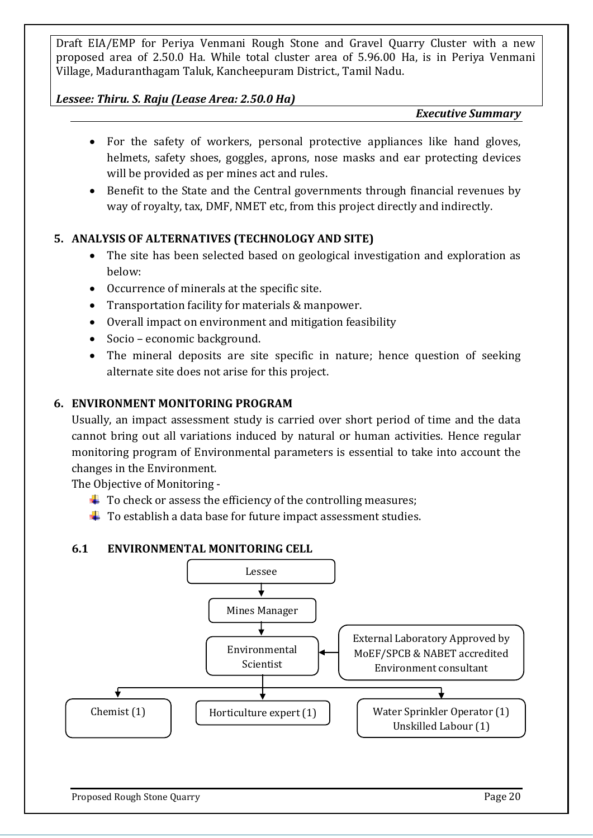#### *Lessee: Thiru. S. Raju (Lease Area: 2.50.0 Ha)*

*Executive Summary*

- For the safety of workers, personal protective appliances like hand gloves, helmets, safety shoes, goggles, aprons, nose masks and ear protecting devices will be provided as per mines act and rules.
- Benefit to the State and the Central governments through financial revenues by way of royalty, tax, DMF, NMET etc, from this project directly and indirectly.

# **5. ANALYSIS OF ALTERNATIVES (TECHNOLOGY AND SITE)**

- The site has been selected based on geological investigation and exploration as below:
- Occurrence of minerals at the specific site.
- Transportation facility for materials & manpower.
- Overall impact on environment and mitigation feasibility
- Socio economic background.
- The mineral deposits are site specific in nature; hence question of seeking alternate site does not arise for this project.

## **6. ENVIRONMENT MONITORING PROGRAM**

Usually, an impact assessment study is carried over short period of time and the data cannot bring out all variations induced by natural or human activities. Hence regular monitoring program of Environmental parameters is essential to take into account the changes in the Environment.

The Objective of Monitoring -

- $\ddot{\bullet}$  To check or assess the efficiency of the controlling measures;
- $\ddot{\phantom{1}}$  To establish a data base for future impact assessment studies.

## **6.1 ENVIRONMENTAL MONITORING CELL**

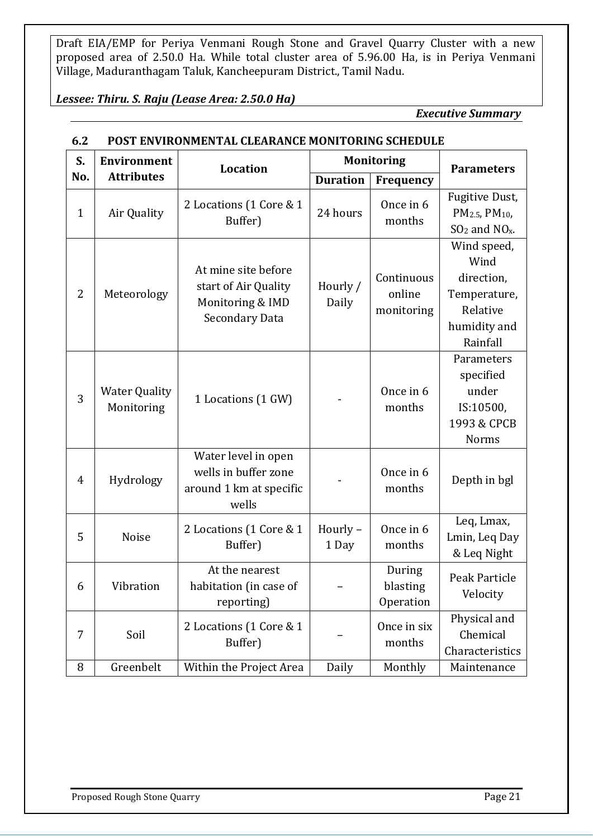## *Lessee: Thiru. S. Raju (Lease Area: 2.50.0 Ha)*

*Executive Summary*

| S.             | <b>Environment</b>                 | <b>Location</b>                                                                          |                   | <b>Monitoring</b>                  | <b>Parameters</b>                                                                         |
|----------------|------------------------------------|------------------------------------------------------------------------------------------|-------------------|------------------------------------|-------------------------------------------------------------------------------------------|
| No.            | <b>Attributes</b>                  |                                                                                          | <b>Duration</b>   | Frequency                          |                                                                                           |
| $\mathbf{1}$   | Air Quality                        | 2 Locations (1 Core & 1<br>Buffer)                                                       | 24 hours          | Once in 6<br>months                | Fugitive Dust,<br>PM <sub>2.5</sub> , PM <sub>10</sub> ,<br>$SO2$ and NO <sub>x</sub> .   |
| $\overline{2}$ | Meteorology                        | At mine site before<br>start of Air Quality<br>Monitoring & IMD<br><b>Secondary Data</b> | Hourly /<br>Daily | Continuous<br>online<br>monitoring | Wind speed,<br>Wind<br>direction,<br>Temperature,<br>Relative<br>humidity and<br>Rainfall |
| 3              | <b>Water Quality</b><br>Monitoring | 1 Locations (1 GW)                                                                       |                   | Once in 6<br>months                | Parameters<br>specified<br>under<br>IS:10500,<br>1993 & CPCB<br><b>Norms</b>              |
| 4              | Hydrology                          | Water level in open<br>wells in buffer zone<br>around 1 km at specific<br>wells          |                   | Once in 6<br>months                | Depth in bgl                                                                              |
| 5              | Noise                              | 2 Locations (1 Core & 1<br>Buffer)                                                       | Hourly-<br>1 Day  | Once in 6<br>months                | Leq, Lmax,<br>Lmin, Leq Day<br>& Leq Night                                                |
| 6              | Vibration                          | At the nearest<br>habitation (in case of<br>reporting)                                   |                   | During<br>blasting<br>Operation    | Peak Particle<br>Velocity                                                                 |
| 7              | Soil                               | 2 Locations (1 Core & 1<br>Buffer)                                                       |                   | Once in six<br>months              | Physical and<br>Chemical<br>Characteristics                                               |
| 8              | Greenbelt                          | Within the Project Area                                                                  | Daily             | Monthly                            | Maintenance                                                                               |

#### **6.2 POST ENVIRONMENTAL CLEARANCE MONITORING SCHEDULE**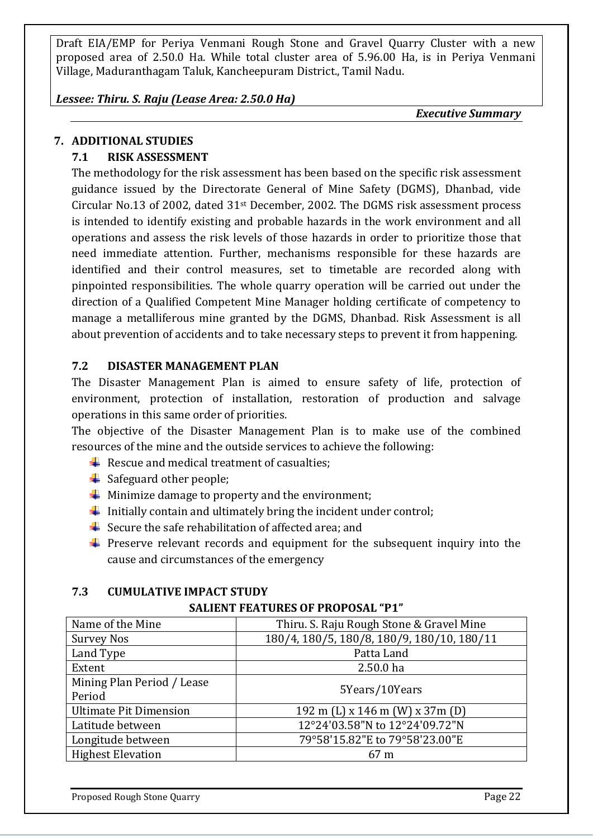*Lessee: Thiru. S. Raju (Lease Area: 2.50.0 Ha)*

*Executive Summary*

# **7. ADDITIONAL STUDIES**

# **7.1 RISK ASSESSMENT**

The methodology for the risk assessment has been based on the specific risk assessment guidance issued by the Directorate General of Mine Safety (DGMS), Dhanbad, vide Circular No.13 of 2002, dated 31st December, 2002. The DGMS risk assessment process is intended to identify existing and probable hazards in the work environment and all operations and assess the risk levels of those hazards in order to prioritize those that need immediate attention. Further, mechanisms responsible for these hazards are identified and their control measures, set to timetable are recorded along with pinpointed responsibilities. The whole quarry operation will be carried out under the direction of a Qualified Competent Mine Manager holding certificate of competency to manage a metalliferous mine granted by the DGMS, Dhanbad. Risk Assessment is all about prevention of accidents and to take necessary steps to prevent it from happening.

## **7.2 DISASTER MANAGEMENT PLAN**

The Disaster Management Plan is aimed to ensure safety of life, protection of environment, protection of installation, restoration of production and salvage operations in this same order of priorities.

The objective of the Disaster Management Plan is to make use of the combined resources of the mine and the outside services to achieve the following:

- $\overline{\text{H}}$  Rescue and medical treatment of casualties;
- $\frac{1}{\sqrt{2}}$  Safeguard other people;
- $\frac{1}{\sqrt{2}}$  Minimize damage to property and the environment;
- Initially contain and ultimately bring the incident under control;
- $\overline{\phantom{a}}$  Secure the safe rehabilitation of affected area; and
- $\ddot{\phantom{1}}$  Preserve relevant records and equipment for the subsequent inquiry into the cause and circumstances of the emergency

# **7.3 CUMULATIVE IMPACT STUDY**

## **SALIENT FEATURES OF PROPOSAL "P1"**

| Name of the Mine              | Thiru. S. Raju Rough Stone & Gravel Mine   |
|-------------------------------|--------------------------------------------|
| <b>Survey Nos</b>             | 180/4, 180/5, 180/8, 180/9, 180/10, 180/11 |
| Land Type                     | Patta Land                                 |
| Extent                        | 2.50.0 ha                                  |
| Mining Plan Period / Lease    | 5Years/10Years                             |
| Period                        |                                            |
| <b>Ultimate Pit Dimension</b> | 192 m (L) x 146 m (W) x 37m (D)            |
| Latitude between              | 12°24'03.58"N to 12°24'09.72"N             |
| Longitude between             | 79°58'15.82"E to 79°58'23.00"E             |
| <b>Highest Elevation</b>      | 67 m                                       |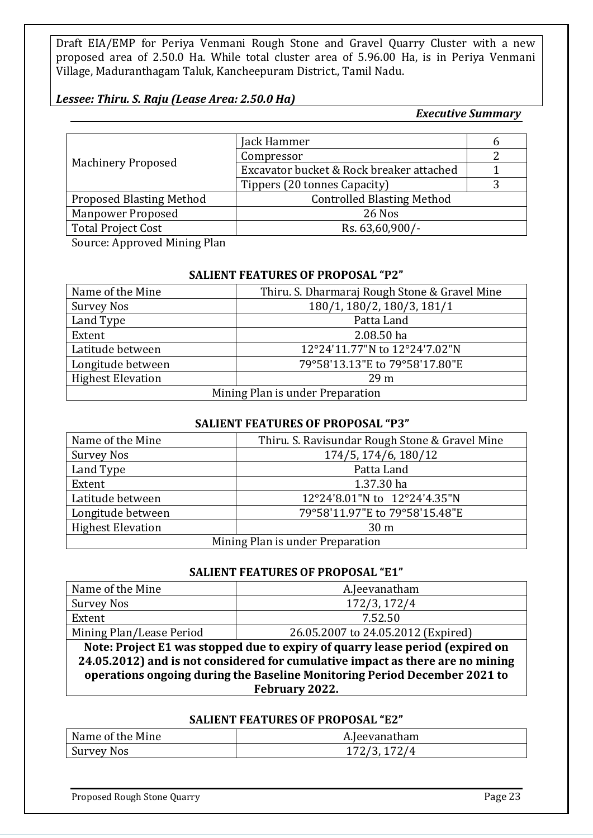#### *Lessee: Thiru. S. Raju (Lease Area: 2.50.0 Ha)*

#### *Executive Summary*

|                                 | Jack Hammer                              | b |
|---------------------------------|------------------------------------------|---|
|                                 | Compressor                               |   |
| <b>Machinery Proposed</b>       | Excavator bucket & Rock breaker attached |   |
|                                 | Tippers (20 tonnes Capacity)             |   |
| <b>Proposed Blasting Method</b> | <b>Controlled Blasting Method</b>        |   |
| <b>Manpower Proposed</b>        | 26 Nos                                   |   |
| <b>Total Project Cost</b>       | Rs. 63,60,900/-                          |   |
|                                 |                                          |   |

Source: Approved Mining Plan

#### **SALIENT FEATURES OF PROPOSAL "P2"**

| Name of the Mine                 | Thiru. S. Dharmaraj Rough Stone & Gravel Mine |  |
|----------------------------------|-----------------------------------------------|--|
| <b>Survey Nos</b>                | 180/1, 180/2, 180/3, 181/1                    |  |
| Land Type                        | Patta Land                                    |  |
| Extent                           | 2.08.50 ha                                    |  |
| Latitude between                 | 12°24'11.77"N to 12°24'7.02"N                 |  |
| Longitude between                | 79°58'13.13"E to 79°58'17.80"E                |  |
| <b>Highest Elevation</b>         | 29 <sub>m</sub>                               |  |
| Mining Plan is under Preparation |                                               |  |

#### **SALIENT FEATURES OF PROPOSAL "P3"**

| Name of the Mine                 | Thiru. S. Ravisundar Rough Stone & Gravel Mine |  |
|----------------------------------|------------------------------------------------|--|
| <b>Survey Nos</b>                | 174/5, 174/6, 180/12                           |  |
| Land Type                        | Patta Land                                     |  |
| Extent                           | 1.37.30 ha                                     |  |
| Latitude between                 | 12°24'8.01"N to 12°24'4.35"N                   |  |
| Longitude between                | 79°58'11.97"E to 79°58'15.48"E                 |  |
| <b>Highest Elevation</b>         | 30 <sub>m</sub>                                |  |
| Mining Plan is under Preparation |                                                |  |

#### **SALIENT FEATURES OF PROPOSAL "E1"**

| Name of the Mine                                                               | A.Jeevanatham                      |  |  |  |
|--------------------------------------------------------------------------------|------------------------------------|--|--|--|
| <b>Survey Nos</b>                                                              | 172/3, 172/4                       |  |  |  |
| Extent                                                                         | 7.52.50                            |  |  |  |
| Mining Plan/Lease Period                                                       | 26.05.2007 to 24.05.2012 (Expired) |  |  |  |
| Note: Project E1 was stopped due to expiry of quarry lease period (expired on  |                                    |  |  |  |
| 24.05.2012) and is not considered for cumulative impact as there are no mining |                                    |  |  |  |
| operations ongoing during the Baseline Monitoring Period December 2021 to      |                                    |  |  |  |
| February 2022.                                                                 |                                    |  |  |  |

#### **SALIENT FEATURES OF PROPOSAL "E2"**

| Name of the Mine | A.leevanatham |
|------------------|---------------|
| Survey Nos       | 172/4         |

Proposed Rough Stone Quarry **Proposed Rough Stone Quarry** Page 23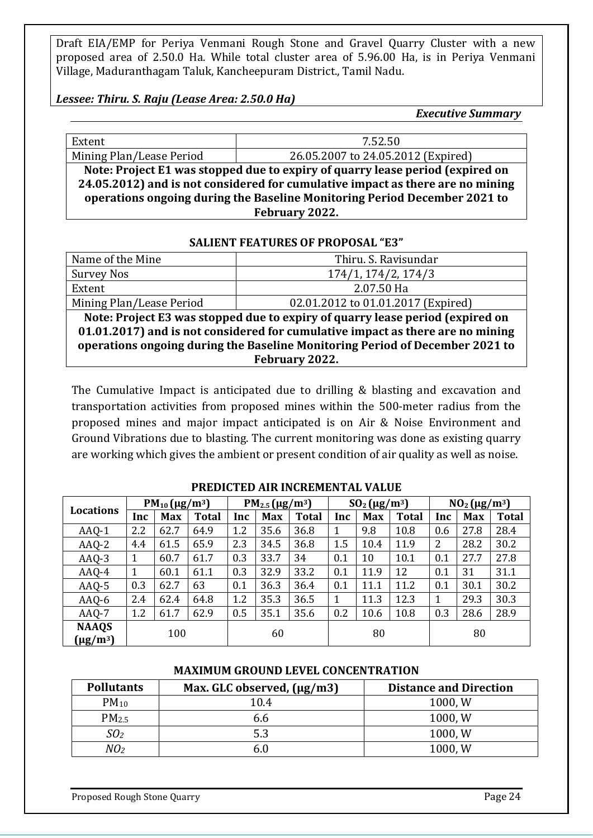#### *Lessee: Thiru. S. Raju (Lease Area: 2.50.0 Ha)*

*Executive Summary*

| Extent                                                                         | 7.52.50                            |  |  |  |
|--------------------------------------------------------------------------------|------------------------------------|--|--|--|
| Mining Plan/Lease Period                                                       | 26.05.2007 to 24.05.2012 (Expired) |  |  |  |
| Note: Project E1 was stopped due to expiry of quarry lease period (expired on  |                                    |  |  |  |
| 24.05.2012) and is not considered for cumulative impact as there are no mining |                                    |  |  |  |
| operations ongoing during the Baseline Monitoring Period December 2021 to      |                                    |  |  |  |
| February 2022.                                                                 |                                    |  |  |  |

#### **SALIENT FEATURES OF PROPOSAL "E3"**

| Name of the Mine                                                               | Thiru. S. Ravisundar               |  |  |
|--------------------------------------------------------------------------------|------------------------------------|--|--|
| <b>Survey Nos</b>                                                              | 174/1, 174/2, 174/3                |  |  |
| Extent                                                                         | 2.07.50 Ha                         |  |  |
| Mining Plan/Lease Period                                                       | 02.01.2012 to 01.01.2017 (Expired) |  |  |
| Note: Project E3 was stopped due to expiry of quarry lease period (expired on  |                                    |  |  |
| 01.01.2017) and is not considered for cumulative impact as there are no mining |                                    |  |  |
| operations ongoing during the Baseline Monitoring Period of December 2021 to   |                                    |  |  |
| February 2022.                                                                 |                                    |  |  |

The Cumulative Impact is anticipated due to drilling & blasting and excavation and transportation activities from proposed mines within the 500-meter radius from the proposed mines and major impact anticipated is on Air & Noise Environment and Ground Vibrations due to blasting. The current monitoring was done as existing quarry are working which gives the ambient or present condition of air quality as well as noise.

|                                           |     | $PM_{10} (\mu g/m^3)$ |              |     | $PM_{2.5}$ (µg/m <sup>3</sup> ) |              |             | $SO_2(\mu g/m^3)$ |              |     | $NO2(\mu g/m3)$ |              |
|-------------------------------------------|-----|-----------------------|--------------|-----|---------------------------------|--------------|-------------|-------------------|--------------|-----|-----------------|--------------|
| <b>Locations</b>                          | Inc | <b>Max</b>            | <b>Total</b> | Inc | <b>Max</b>                      | <b>Total</b> | Inc         | <b>Max</b>        | <b>Total</b> | Inc | <b>Max</b>      | <b>Total</b> |
| $AAQ-1$                                   | 2.2 | 62.7                  | 64.9         | 1.2 | 35.6                            | 36.8         | $\mathbf 1$ | 9.8               | 10.8         | 0.6 | 27.8            | 28.4         |
| $AAQ-2$                                   | 4.4 | 61.5                  | 65.9         | 2.3 | 34.5                            | 36.8         | 1.5         | 10.4              | 11.9         | 2   | 28.2            | 30.2         |
| $AAQ-3$                                   |     | 60.7                  | 61.7         | 0.3 | 33.7                            | 34           | 0.1         | 10                | 10.1         | 0.1 | 27.7            | 27.8         |
| AAQ-4                                     |     | 60.1                  | 61.1         | 0.3 | 32.9                            | 33.2         | 0.1         | 11.9              | 12           | 0.1 | 31              | 31.1         |
| AAQ-5                                     | 0.3 | 62.7                  | 63           | 0.1 | 36.3                            | 36.4         | 0.1         | 11.1              | 11.2         | 0.1 | 30.1            | 30.2         |
| AAQ-6                                     | 2.4 | 62.4                  | 64.8         | 1.2 | 35.3                            | 36.5         |             | 11.3              | 12.3         | 1   | 29.3            | 30.3         |
| $AAQ-7$                                   | 1.2 | 61.7                  | 62.9         | 0.5 | 35.1                            | 35.6         | 0.2         | 10.6              | 10.8         | 0.3 | 28.6            | 28.9         |
| <b>NAAQS</b><br>$(\mu$ g/m <sup>3</sup> ) |     | 100                   |              |     | 60                              |              |             | 80                |              |     | 80              |              |

## **PREDICTED AIR INCREMENTAL VALUE**

#### **MAXIMUM GROUND LEVEL CONCENTRATION**

| <b>Pollutants</b> | Max. GLC observed, $(\mu g/m3)$ | <b>Distance and Direction</b> |
|-------------------|---------------------------------|-------------------------------|
| $PM_{10}$         | 10.4                            | 1000, W                       |
| PM <sub>2.5</sub> | 6.6                             | 1000, W                       |
| SO <sub>2</sub>   | 5.3                             | 1000, W                       |
| NO <sub>2</sub>   | 6.0                             | 1000, W                       |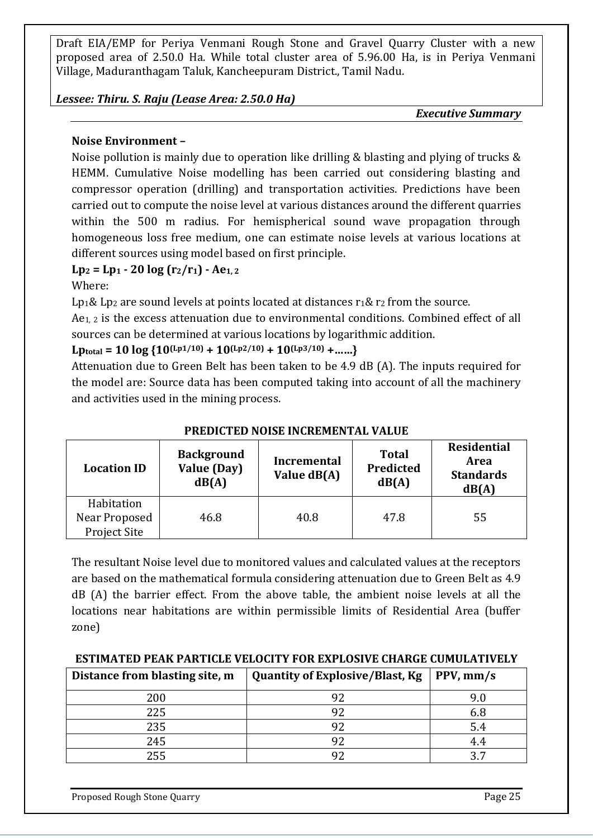#### *Lessee: Thiru. S. Raju (Lease Area: 2.50.0 Ha)*

*Executive Summary*

# **Noise Environment –**

Noise pollution is mainly due to operation like drilling & blasting and plying of trucks & HEMM. Cumulative Noise modelling has been carried out considering blasting and compressor operation (drilling) and transportation activities. Predictions have been carried out to compute the noise level at various distances around the different quarries within the 500 m radius. For hemispherical sound wave propagation through homogeneous loss free medium, one can estimate noise levels at various locations at different sources using model based on first principle.

# $Lp_2 = Lp_1 - 20 \log (r_2/r_1) - Ae_{1,2}$

Where:

Lp<sub>1</sub>& Lp<sub>2</sub> are sound levels at points located at distances  $r_1$ &  $r_2$  from the source.

Ae1, 2 is the excess attenuation due to environmental conditions. Combined effect of all sources can be determined at various locations by logarithmic addition.

# $Lp_{total} = 10 log {10^{(Lp1/10)} + 10^{(Lp2/10)} + 10^{(Lp3/10)} + ...}$

Attenuation due to Green Belt has been taken to be 4.9 dB (A). The inputs required for the model are: Source data has been computed taking into account of all the machinery and activities used in the mining process.

| <b>Location ID</b>                                 | <b>Background</b><br><b>Value (Day)</b><br>dB(A) | <b>Incremental</b><br>Value dB(A) | <b>Total</b><br>Predicted<br>dB(A) | <b>Residential</b><br>Area<br><b>Standards</b><br>dB(A) |
|----------------------------------------------------|--------------------------------------------------|-----------------------------------|------------------------------------|---------------------------------------------------------|
| Habitation<br>Near Proposed<br><b>Project Site</b> | 46.8                                             | 40.8                              | 47.8                               | 55                                                      |

# **PREDICTED NOISE INCREMENTAL VALUE**

The resultant Noise level due to monitored values and calculated values at the receptors are based on the mathematical formula considering attenuation due to Green Belt as 4.9 dB (A) the barrier effect. From the above table, the ambient noise levels at all the locations near habitations are within permissible limits of Residential Area (buffer zone)

## **ESTIMATED PEAK PARTICLE VELOCITY FOR EXPLOSIVE CHARGE CUMULATIVELY**

| Distance from blasting site, m | Quantity of Explosive/Blast, Kg   PPV, mm/s |     |
|--------------------------------|---------------------------------------------|-----|
| 200                            | 92                                          | 9.0 |
| 225                            | 92                                          |     |
| 235                            |                                             | 5.4 |
| 245                            |                                             | 4.4 |
| 255                            | ۹7                                          | 27  |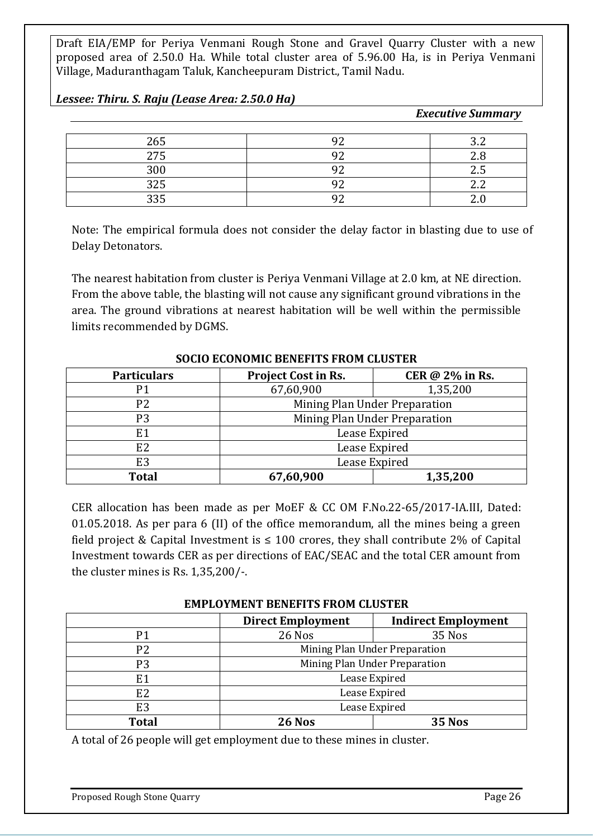#### *Lessee: Thiru. S. Raju (Lease Area: 2.50.0 Ha)*

*Executive Summary*

| 265           | ົດ ຕ   | $\sim$<br>$\sqrt{2}$ |
|---------------|--------|----------------------|
| つワビ           | o٥     | $\sqrt{2}$           |
| 300           | n n    | ⌒<br>ں . ب           |
| つつに<br>ے کے ب | n n    | $\sim$<br>∽          |
| つつご<br>ັບ     | $\sim$ | $\sqrt{2}$           |

Note: The empirical formula does not consider the delay factor in blasting due to use of Delay Detonators.

The nearest habitation from cluster is Periya Venmani Village at 2.0 km, at NE direction. From the above table, the blasting will not cause any significant ground vibrations in the area. The ground vibrations at nearest habitation will be well within the permissible limits recommended by DGMS.

| <b>Particulars</b> | <b>Project Cost in Rs.</b>    | <b>CER @ 2% in Rs.</b> |  |  |  |
|--------------------|-------------------------------|------------------------|--|--|--|
| Ρ1                 | 67,60,900                     | 1,35,200               |  |  |  |
| P2                 | Mining Plan Under Preparation |                        |  |  |  |
| P <sub>3</sub>     | Mining Plan Under Preparation |                        |  |  |  |
| E1                 | Lease Expired                 |                        |  |  |  |
| E <sub>2</sub>     | Lease Expired                 |                        |  |  |  |
| E <sub>3</sub>     | Lease Expired                 |                        |  |  |  |
| <b>Total</b>       | 67,60,900                     | 1,35,200               |  |  |  |

#### **SOCIO ECONOMIC BENEFITS FROM CLUSTER**

CER allocation has been made as per MoEF & CC OM F.No.22-65/2017-IA.III, Dated: 01.05.2018. As per para 6 (II) of the office memorandum, all the mines being a green field project & Capital Investment is  $\leq 100$  crores, they shall contribute 2% of Capital Investment towards CER as per directions of EAC/SEAC and the total CER amount from the cluster mines is Rs. 1,35,200/-.

|       | <b>Direct Employment</b>      | <b>Indirect Employment</b> |  |  |  |
|-------|-------------------------------|----------------------------|--|--|--|
| Р1    | 26 Nos                        | 35 Nos                     |  |  |  |
| P2    | Mining Plan Under Preparation |                            |  |  |  |
| P3    | Mining Plan Under Preparation |                            |  |  |  |
| E1    | Lease Expired                 |                            |  |  |  |
| E2    | Lease Expired                 |                            |  |  |  |
| E3    | Lease Expired                 |                            |  |  |  |
| Total | <b>26 Nos</b>                 | <b>35 Nos</b>              |  |  |  |

A total of 26 people will get employment due to these mines in cluster.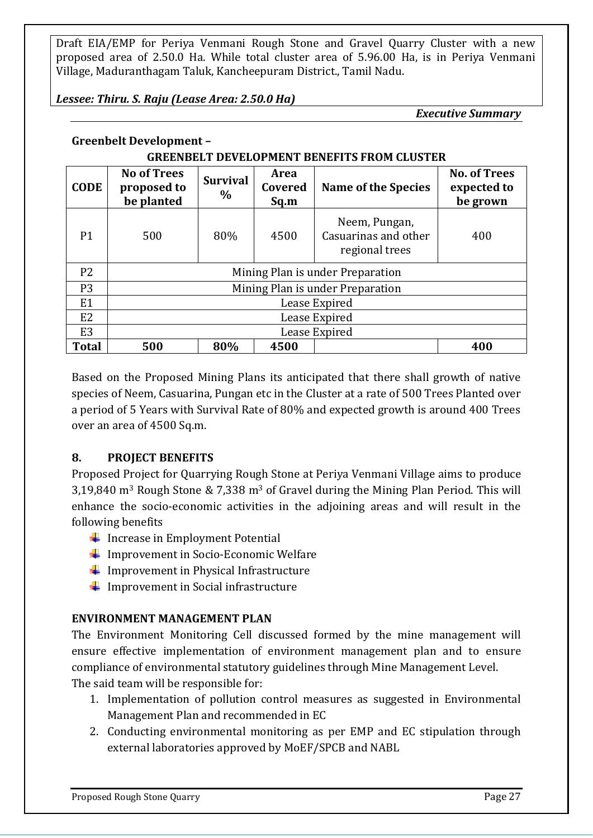*Lessee: Thiru. S. Raju (Lease Area: 2.50.0 Ha)*

*Executive Summary*

| <b>GREENBELT DEVELOPMENT BENEFITS FROM CLUSTER</b> |                                                 |                         |                                |                                                         |                                                |
|----------------------------------------------------|-------------------------------------------------|-------------------------|--------------------------------|---------------------------------------------------------|------------------------------------------------|
| <b>CODE</b>                                        | <b>No of Trees</b><br>proposed to<br>be planted | <b>Survival</b><br>$\%$ | <b>Area</b><br>Covered<br>Sq.m | <b>Name of the Species</b>                              | <b>No. of Trees</b><br>expected to<br>be grown |
| P <sub>1</sub>                                     | 500                                             | 80%                     | 4500                           | Neem, Pungan,<br>Casuarinas and other<br>regional trees | 400                                            |
| P <sub>2</sub>                                     | Mining Plan is under Preparation                |                         |                                |                                                         |                                                |
| P <sub>3</sub>                                     | Mining Plan is under Preparation                |                         |                                |                                                         |                                                |
| E1                                                 | Lease Expired                                   |                         |                                |                                                         |                                                |
| E <sub>2</sub>                                     | Lease Expired                                   |                         |                                |                                                         |                                                |
| E <sub>3</sub>                                     | Lease Expired                                   |                         |                                |                                                         |                                                |
| <b>Total</b>                                       | 500                                             | 80%                     | 4500                           |                                                         | 400                                            |

# **Greenbelt Development –**

Based on the Proposed Mining Plans its anticipated that there shall growth of native species of Neem, Casuarina, Pungan etc in the Cluster at a rate of 500 Trees Planted over a period of 5 Years with Survival Rate of 80% and expected growth is around 400 Trees over an area of 4500 Sq.m.

# **8. PROJECT BENEFITS**

Proposed Project for Quarrying Rough Stone at Periya Venmani Village aims to produce  $3,19,840$  m<sup>3</sup> Rough Stone & 7,338 m<sup>3</sup> of Gravel during the Mining Plan Period. This will enhance the socio-economic activities in the adjoining areas and will result in the following benefits

- $\downarrow$  Increase in Employment Potential
- $\downarrow$  Improvement in Socio-Economic Welfare
- $\downarrow$  Improvement in Physical Infrastructure
- $\ddot{\bullet}$  Improvement in Social infrastructure

# **ENVIRONMENT MANAGEMENT PLAN**

The Environment Monitoring Cell discussed formed by the mine management will ensure effective implementation of environment management plan and to ensure compliance of environmental statutory guidelines through Mine Management Level. The said team will be responsible for:

- 1. Implementation of pollution control measures as suggested in Environmental Management Plan and recommended in EC
- 2. Conducting environmental monitoring as per EMP and EC stipulation through external laboratories approved by MoEF/SPCB and NABL